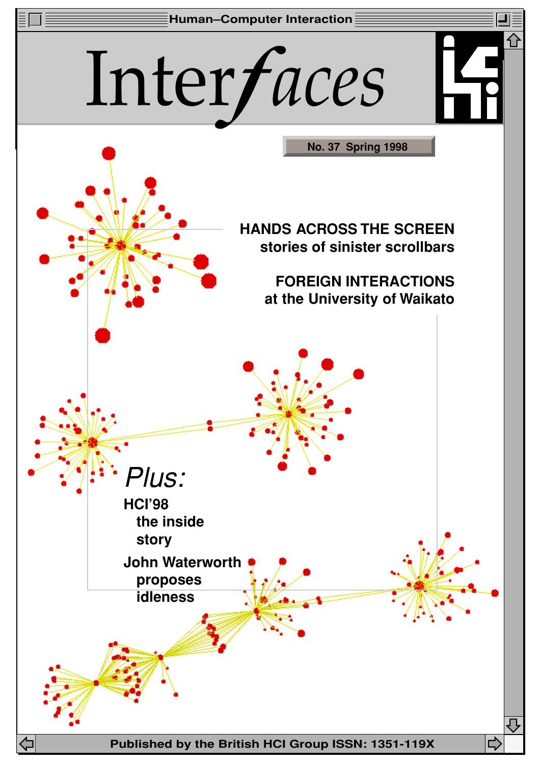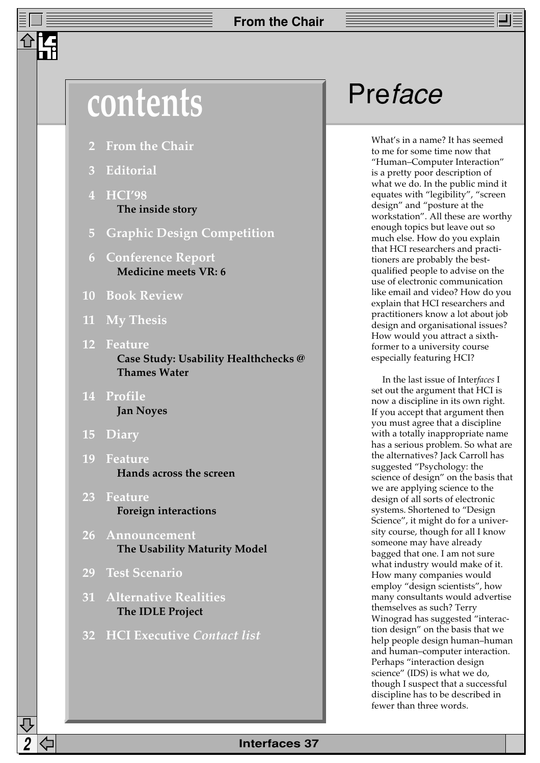# contents **Preface**

- **2 From the Chair**
- **3 Editorial**
- **4 HCI'98 The inside story**
- **5 Graphic Design Competition**
- **6 Conference Report Medicine meets VR: 6**
- **10 Book Review**
- **11 My Thesis**
- **12 Feature Case Study: Usability Healthchecks @ Thames Water**
- **14 Profile Jan Noyes**
- **15 Diary**
- **19 Feature Hands across the screen**
- **23 Feature Foreign interactions**
- **26 Announcement The Usability Maturity Model**
- **29 Test Scenario**
- **31 Alternative Realities The IDLE Project**
- **32 HCI Executive** *Contact list*

What's in a name? It has seemed to me for some time now that "Human–Computer Interaction" is a pretty poor description of what we do. In the public mind it equates with "legibility", "screen design" and "posture at the workstation". All these are worthy enough topics but leave out so much else. How do you explain that HCI researchers and practitioners are probably the bestqualified people to advise on the use of electronic communication like email and video? How do you explain that HCI researchers and practitioners know a lot about job design and organisational issues? How would you attract a sixthformer to a university course especially featuring HCI?

In the last issue of Inter*faces* I set out the argument that HCI is now a discipline in its own right. If you accept that argument then you must agree that a discipline with a totally inappropriate name has a serious problem. So what are the alternatives? Jack Carroll has suggested "Psychology: the science of design" on the basis that we are applying science to the design of all sorts of electronic systems. Shortened to "Design Science", it might do for a university course, though for all I know someone may have already bagged that one. I am not sure what industry would make of it. How many companies would employ "design scientists", how many consultants would advertise themselves as such? Terry Winograd has suggested "interaction design" on the basis that we help people design human–human and human–computer interaction. Perhaps "interaction design science" (IDS) is what we do, though I suspect that a successful discipline has to be described in fewer than three words.

## **2 Interfaces 37**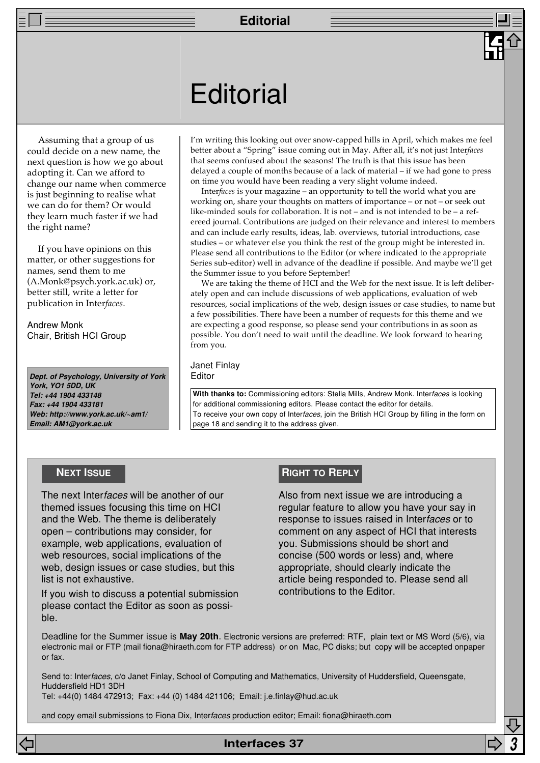## **Editorial**

Assuming that a group of us could decide on a new name, the next question is how we go about adopting it. Can we afford to change our name when commerce is just beginning to realise what we can do for them? Or would they learn much faster if we had the right name?

If you have opinions on this matter, or other suggestions for names, send them to me (A.Monk@psych.york.ac.uk) or, better still, write a letter for publication in Inter*faces*.

Andrew Monk Chair, British HCI Group

**Dept. of Psychology, University of York York, YO1 5DD, UK Tel: +44 1904 433148 Fax: +44 1904 433181 Web: http://www.york.ac.uk/~am1/ Email: AM1@york.ac.uk**

I'm writing this looking out over snow-capped hills in April, which makes me feel better about a "Spring" issue coming out in May. After all, it's not just Inter*faces* that seems confused about the seasons! The truth is that this issue has been delayed a couple of months because of a lack of material – if we had gone to press on time you would have been reading a very slight volume indeed.

Inter*faces* is your magazine – an opportunity to tell the world what you are working on, share your thoughts on matters of importance – or not – or seek out like-minded souls for collaboration. It is not – and is not intended to be – a refereed journal. Contributions are judged on their relevance and interest to members and can include early results, ideas, lab. overviews, tutorial introductions, case studies – or whatever else you think the rest of the group might be interested in. Please send all contributions to the Editor (or where indicated to the appropriate Series sub-editor) well in advance of the deadline if possible. And maybe we'll get the Summer issue to you before September!

We are taking the theme of HCI and the Web for the next issue. It is left deliberately open and can include discussions of web applications, evaluation of web resources, social implications of the web, design issues or case studies, to name but a few possibilities. There have been a number of requests for this theme and we are expecting a good response, so please send your contributions in as soon as possible. You don't need to wait until the deadline. We look forward to hearing from you.

#### Janet Finlay **Editor**

**With thanks to:** Commissioning editors: Stella Mills, Andrew Monk. Interfaces is looking for additional commissioning editors. Please contact the editor for details. To receive your own copy of Interfaces, join the British HCI Group by filling in the form on page 18 and sending it to the address given.

The next Interfaces will be another of our themed issues focusing this time on HCI and the Web. The theme is deliberately open – contributions may consider, for example, web applications, evaluation of web resources, social implications of the web, design issues or case studies, but this list is not exhaustive.

If you wish to discuss a potential submission please contact the Editor as soon as possible.

## **NEXT ISSUE RIGHT TO REPLY**

Also from next issue we are introducing a regular feature to allow you have your say in response to issues raised in Interfaces or to comment on any aspect of HCI that interests you. Submissions should be short and concise (500 words or less) and, where appropriate, should clearly indicate the article being responded to. Please send all contributions to the Editor.

Deadline for the Summer issue is **May 20th**. Electronic versions are preferred: RTF, plain text or MS Word (5/6), via electronic mail or FTP (mail fiona@hiraeth.com for FTP address) or on Mac, PC disks; but copy will be accepted onpaper or fax.

**Interfaces 37 3**

Send to: Interfaces, c/o Janet Finlay, School of Computing and Mathematics, University of Huddersfield, Queensgate, Huddersfield HD1 3DH

Tel: +44(0) 1484 472913; Fax: +44 (0) 1484 421106; Email: j.e.finlay@hud.ac.uk

and copy email submissions to Fiona Dix, Interfaces production editor; Email: fiona@hiraeth.com

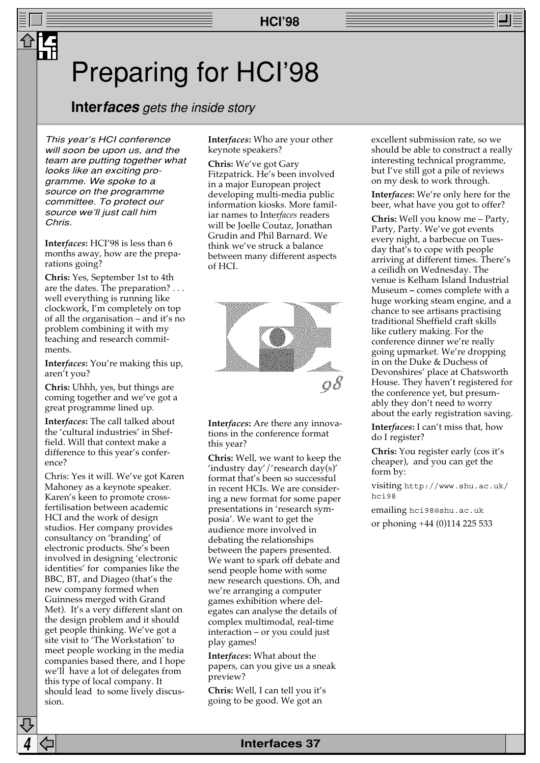## Preparing for HCI'98

## **Interfaces** gets the inside story

This year's HCI conference will soon be upon us, and the team are putting together what looks like an exciting programme. We spoke to a source on the programme committee. To protect our source we'll just call him Chris.

**Inter***faces***:** HCI'98 is less than 6 months away, how are the preparations going?

**Chris:** Yes, September 1st to 4th are the dates. The preparation? . . . well everything is running like clockwork, I'm completely on top of all the organisation – and it's no problem combining it with my teaching and research commitments.

**Inter***faces***:** You're making this up, aren't you?

**Chris:** Uhhh, yes, but things are coming together and we've got a great programme lined up.

**Inter***faces***:** The call talked about the 'cultural industries' in Sheffield. Will that context make a difference to this year's conference?

Chris: Yes it will. We've got Karen Mahoney as a keynote speaker. Karen's keen to promote crossfertilisation between academic HCI and the work of design studios. Her company provides consultancy on 'branding' of electronic products. She's been involved in designing 'electronic identities' for companies like the BBC, BT, and Diageo (that's the new company formed when Guinness merged with Grand Met). It's a very different slant on the design problem and it should get people thinking. We've got a site visit to 'The Workstation' to meet people working in the media companies based there, and I hope we'll have a lot of delegates from this type of local company. It should lead to some lively discussion.

**Inter***faces***:** Who are your other keynote speakers?

**Chris:** We've got Gary Fitzpatrick. He's been involved in a major European project developing multi-media public information kiosks. More familiar names to Inter*faces* readers will be Joelle Coutaz, Jonathan Grudin and Phil Barnard. We think we've struck a balance between many different aspects of HCI.



**Inter***faces***:** Are there any innovations in the conference format this year?

**Chris:** Well, we want to keep the 'industry day'/'research day(s)' format that's been so successful in recent HCIs. We are considering a new format for some paper presentations in 'research symposia'. We want to get the audience more involved in debating the relationships between the papers presented. We want to spark off debate and send people home with some new research questions. Oh, and we're arranging a computer games exhibition where delegates can analyse the details of complex multimodal, real-time interaction – or you could just play games!

**Inter***faces***:** What about the papers, can you give us a sneak preview?

**Chris:** Well, I can tell you it's going to be good. We got an

excellent submission rate, so we should be able to construct a really interesting technical programme, but I've still got a pile of reviews on my desk to work through.

**Inter***faces***:** We're only here for the beer, what have you got to offer?

**Chris:** Well you know me – Party, Party, Party. We've got events every night, a barbecue on Tuesday that's to cope with people arriving at different times. There's a ceilidh on Wednesday. The venue is Kelham Island Industrial Museum **–** comes complete with a huge working steam engine, and a chance to see artisans practising traditional Sheffield craft skills like cutlery making. For the conference dinner we're really going upmarket. We're dropping in on the Duke & Duchess of Devonshires' place at Chatsworth House. They haven't registered for the conference yet, but presumably they don't need to worry about the early registration saving.

**Inter***faces***:** I can't miss that, how do I register?

**Chris:** You register early (cos it's cheaper), and you can get the form by:

visiting http://www.shu.ac.uk/ hci98

emailing hci98@shu.ac.uk or phoning +44 (0)114 225 533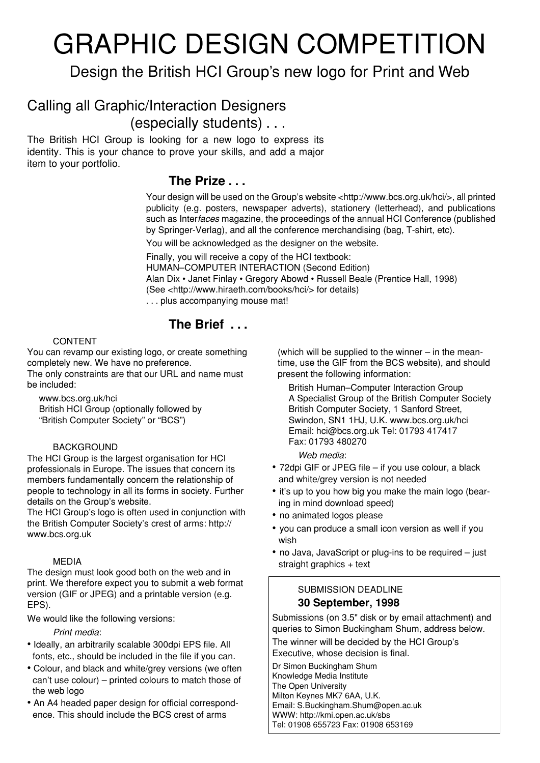# GRAPHIC DESIGN COMPETITION

## Design the British HCI Group's new logo for Print and Web

## Calling all Graphic/Interaction Designers (especially students) . . .

The British HCI Group is looking for a new logo to express its identity. This is your chance to prove your skills, and add a major item to your portfolio.

## **The Prize . . .**

Your design will be used on the Group's website <http://www.bcs.org.uk/hci/>, all printed publicity (e.g. posters, newspaper adverts), stationery (letterhead), and publications such as Interfaces magazine, the proceedings of the annual HCI Conference (published by Springer-Verlag), and all the conference merchandising (bag, T-shirt, etc).

You will be acknowledged as the designer on the website.

Finally, you will receive a copy of the HCI textbook:

HUMAN–COMPUTER INTERACTION (Second Edition)

Alan Dix • Janet Finlay • Gregory Abowd • Russell Beale (Prentice Hall, 1998)

(See <http://www.hiraeth.com/books/hci/> for details)

. . . plus accompanying mouse mat!

## **The Brief . . .**

## CONTENT

You can revamp our existing logo, or create something completely new. We have no preference.

The only constraints are that our URL and name must be included:

www.bcs.org.uk/hci British HCI Group (optionally followed by "British Computer Society" or "BCS")

## BACKGROUND

The HCI Group is the largest organisation for HCI professionals in Europe. The issues that concern its members fundamentally concern the relationship of people to technology in all its forms in society. Further details on the Group's website.

The HCI Group's logo is often used in conjunction with the British Computer Society's crest of arms: http:// www.bcs.org.uk

## MEDIA

The design must look good both on the web and in print. We therefore expect you to submit a web format version (GIF or JPEG) and a printable version (e.g. EPS).

We would like the following versions:

### Print media:

- Ideally, an arbitrarily scalable 300dpi EPS file. All fonts, etc., should be included in the file if you can.
- Colour, and black and white/grey versions (we often can't use colour) – printed colours to match those of the web logo
- An A4 headed paper design for official correspondence. This should include the BCS crest of arms

(which will be supplied to the winner – in the meantime, use the GIF from the BCS website), and should present the following information:

British Human–Computer Interaction Group A Specialist Group of the British Computer Society British Computer Society, 1 Sanford Street, Swindon, SN1 1HJ, U.K. www.bcs.org.uk/hci Email: hci@bcs.org.uk Tel: 01793 417417 Fax: 01793 480270

Web media:

- 72dpi GIF or JPEG file if you use colour, a black and white/grey version is not needed
- it's up to you how big you make the main logo (bearing in mind download speed)
- no animated logos please
- you can produce a small icon version as well if you wish
- no Java, JavaScript or plug-ins to be required just straight graphics + text

## SUBMISSION DEADLINE **30 September, 1998**

Submissions (on 3.5" disk or by email attachment) and queries to Simon Buckingham Shum, address below.

The winner will be decided by the HCI Group's Executive, whose decision is final.

Dr Simon Buckingham Shum Knowledge Media Institute The Open University Milton Keynes MK7 6AA, U.K. Email: S.Buckingham.Shum@open.ac.uk WWW: http://kmi.open.ac.uk/sbs Tel: 01908 655723 Fax: 01908 653169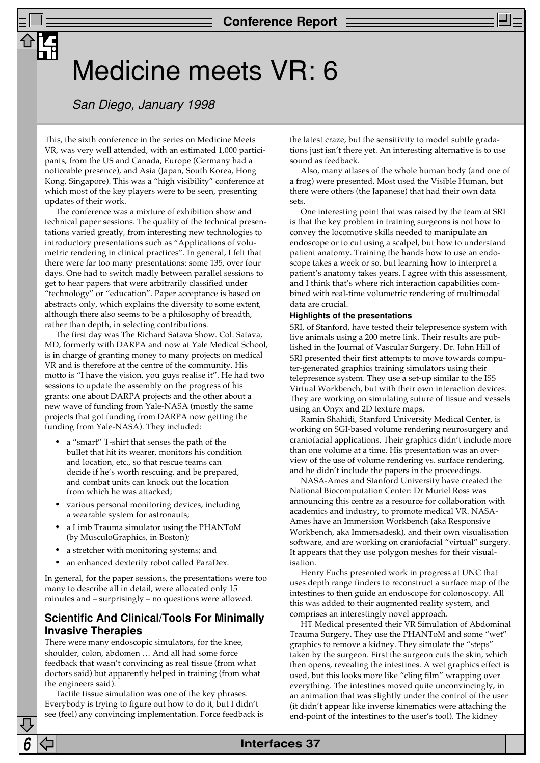## Medicine meets VR: 6

## San Diego, January 1998

This, the sixth conference in the series on Medicine Meets VR, was very well attended, with an estimated 1,000 participants, from the US and Canada, Europe (Germany had a noticeable presence), and Asia (Japan, South Korea, Hong Kong, Singapore). This was a "high visibility" conference at which most of the key players were to be seen, presenting updates of their work.

The conference was a mixture of exhibition show and technical paper sessions. The quality of the technical presentations varied greatly, from interesting new technologies to introductory presentations such as "Applications of volumetric rendering in clinical practices". In general, I felt that there were far too many presentations: some 135, over four days. One had to switch madly between parallel sessions to get to hear papers that were arbitrarily classified under "technology" or "education". Paper acceptance is based on abstracts only, which explains the diversity to some extent, although there also seems to be a philosophy of breadth, rather than depth, in selecting contributions.

The first day was The Richard Satava Show. Col. Satava, MD, formerly with DARPA and now at Yale Medical School, is in charge of granting money to many projects on medical VR and is therefore at the centre of the community. His motto is "I have the vision, you guys realise it". He had two sessions to update the assembly on the progress of his grants: one about DARPA projects and the other about a new wave of funding from Yale-NASA (mostly the same projects that got funding from DARPA now getting the funding from Yale-NASA). They included:

- a "smart" T-shirt that senses the path of the bullet that hit its wearer, monitors his condition and location, etc., so that rescue teams can decide if he's worth rescuing, and be prepared, and combat units can knock out the location from which he was attacked;
- various personal monitoring devices, including a wearable system for astronauts;
- a Limb Trauma simulator using the PHANToM (by MusculoGraphics, in Boston);
- a stretcher with monitoring systems; and
- an enhanced dexterity robot called ParaDex.

In general, for the paper sessions, the presentations were too many to describe all in detail, were allocated only 15 minutes and – surprisingly – no questions were allowed.

## **Scientific And Clinical/Tools For Minimally Invasive Therapies**

There were many endoscopic simulators, for the knee, shoulder, colon, abdomen … And all had some force feedback that wasn't convincing as real tissue (from what doctors said) but apparently helped in training (from what the engineers said).

Tactile tissue simulation was one of the key phrases. Everybody is trying to figure out how to do it, but I didn't see (feel) any convincing implementation. Force feedback is the latest craze, but the sensitivity to model subtle gradations just isn't there yet. An interesting alternative is to use sound as feedback.

Also, many atlases of the whole human body (and one of a frog) were presented. Most used the Visible Human, but there were others (the Japanese) that had their own data sets.

One interesting point that was raised by the team at SRI is that the key problem in training surgeons is not how to convey the locomotive skills needed to manipulate an endoscope or to cut using a scalpel, but how to understand patient anatomy. Training the hands how to use an endoscope takes a week or so, but learning how to interpret a patient's anatomy takes years. I agree with this assessment, and I think that's where rich interaction capabilities combined with real-time volumetric rendering of multimodal data are crucial.

#### **Highlights of the presentations**

SRI, of Stanford, have tested their telepresence system with live animals using a 200 metre link. Their results are published in the Journal of Vascular Surgery. Dr. John Hill of SRI presented their first attempts to move towards computer-generated graphics training simulators using their telepresence system. They use a set-up similar to the ISS Virtual Workbench, but with their own interaction devices. They are working on simulating suture of tissue and vessels using an Onyx and 2D texture maps.

Ramin Shahidi, Stanford University Medical Center, is working on SGI-based volume rendering neurosurgery and craniofacial applications. Their graphics didn't include more than one volume at a time. His presentation was an overview of the use of volume rendering vs. surface rendering, and he didn't include the papers in the proceedings.

NASA-Ames and Stanford University have created the National Biocomputation Center: Dr Muriel Ross was announcing this centre as a resource for collaboration with academics and industry, to promote medical VR. NASA-Ames have an Immersion Workbench (aka Responsive Workbench, aka Immersadesk), and their own visualisation software, and are working on craniofacial "virtual" surgery. It appears that they use polygon meshes for their visualisation.

Henry Fuchs presented work in progress at UNC that uses depth range finders to reconstruct a surface map of the intestines to then guide an endoscope for colonoscopy. All this was added to their augmented reality system, and comprises an interestingly novel approach.

HT Medical presented their VR Simulation of Abdominal Trauma Surgery. They use the PHANToM and some "wet" graphics to remove a kidney. They simulate the "steps" taken by the surgeon. First the surgeon cuts the skin, which then opens, revealing the intestines. A wet graphics effect is used, but this looks more like "cling film" wrapping over everything. The intestines moved quite unconvincingly, in an animation that was slightly under the control of the user (it didn't appear like inverse kinematics were attaching the end-point of the intestines to the user's tool). The kidney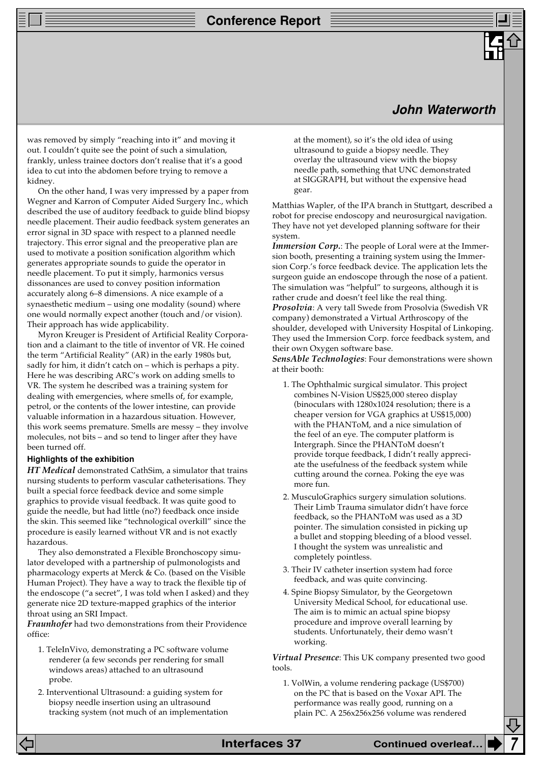### **Conference Report**

## **John Waterworth**

was removed by simply "reaching into it" and moving it out. I couldn't quite see the point of such a simulation, frankly, unless trainee doctors don't realise that it's a good idea to cut into the abdomen before trying to remove a kidney.

On the other hand, I was very impressed by a paper from Wegner and Karron of Computer Aided Surgery Inc., which described the use of auditory feedback to guide blind biopsy needle placement. Their audio feedback system generates an error signal in 3D space with respect to a planned needle trajectory. This error signal and the preoperative plan are used to motivate a position sonification algorithm which generates appropriate sounds to guide the operator in needle placement. To put it simply, harmonics versus dissonances are used to convey position information accurately along 6–8 dimensions. A nice example of a synaesthetic medium – using one modality (sound) where one would normally expect another (touch and/or vision). Their approach has wide applicability.

Myron Kreuger is President of Artificial Reality Corporation and a claimant to the title of inventor of VR. He coined the term "Artificial Reality" (AR) in the early 1980s but, sadly for him, it didn't catch on – which is perhaps a pity. Here he was describing ARC's work on adding smells to VR. The system he described was a training system for dealing with emergencies, where smells of, for example, petrol, or the contents of the lower intestine, can provide valuable information in a hazardous situation. However, this work seems premature. Smells are messy – they involve molecules, not bits – and so tend to linger after they have been turned off.

#### **Highlights of the exhibition**

*HT Medical* demonstrated CathSim, a simulator that trains nursing students to perform vascular catheterisations. They built a special force feedback device and some simple graphics to provide visual feedback. It was quite good to guide the needle, but had little (no?) feedback once inside the skin. This seemed like "technological overkill" since the procedure is easily learned without VR and is not exactly hazardous.

They also demonstrated a Flexible Bronchoscopy simulator developed with a partnership of pulmonologists and pharmacology experts at Merck & Co. (based on the Visible Human Project). They have a way to track the flexible tip of the endoscope ("a secret", I was told when I asked) and they generate nice 2D texture-mapped graphics of the interior throat using an SRI Impact.

*Fraunhofer* had two demonstrations from their Providence office:

- 1. TeleInVivo, demonstrating a PC software volume renderer (a few seconds per rendering for small windows areas) attached to an ultrasound probe.
- 2. Interventional Ultrasound: a guiding system for biopsy needle insertion using an ultrasound tracking system (not much of an implementation

at the moment), so it's the old idea of using ultrasound to guide a biopsy needle. They overlay the ultrasound view with the biopsy needle path, something that UNC demonstrated at SIGGRAPH, but without the expensive head gear.

Matthias Wapler, of the IPA branch in Stuttgart, described a robot for precise endoscopy and neurosurgical navigation. They have not yet developed planning software for their system.

*Immersion Corp.*: The people of Loral were at the Immersion booth, presenting a training system using the Immersion Corp.'s force feedback device. The application lets the surgeon guide an endoscope through the nose of a patient. The simulation was "helpful" to surgeons, although it is rather crude and doesn't feel like the real thing. *Prosolvia*: A very tall Swede from Prosolvia (Swedish VR company) demonstrated a Virtual Arthroscopy of the shoulder, developed with University Hospital of Linkoping. They used the Immersion Corp. force feedback system, and their own Oxygen software base.

*SensAble Technologies*: Four demonstrations were shown at their booth:

- 1. The Ophthalmic surgical simulator. This project combines N-Vision US\$25,000 stereo display (binoculars with 1280x1024 resolution; there is a cheaper version for VGA graphics at US\$15,000) with the PHANToM, and a nice simulation of the feel of an eye. The computer platform is Intergraph. Since the PHANToM doesn't provide torque feedback, I didn't really appreciate the usefulness of the feedback system while cutting around the cornea. Poking the eye was more fun.
- 2. MusculoGraphics surgery simulation solutions. Their Limb Trauma simulator didn't have force feedback, so the PHANToM was used as a 3D pointer. The simulation consisted in picking up a bullet and stopping bleeding of a blood vessel. I thought the system was unrealistic and completely pointless.
- 3. Their IV catheter insertion system had force feedback, and was quite convincing.
- 4. Spine Biopsy Simulator, by the Georgetown University Medical School, for educational use. The aim is to mimic an actual spine biopsy procedure and improve overall learning by students. Unfortunately, their demo wasn't working.

*Virtual Presence*: This UK company presented two good tools.

1. VolWin, a volume rendering package (US\$700) on the PC that is based on the Voxar API. The performance was really good, running on a plain PC. A 256x256x256 volume was rendered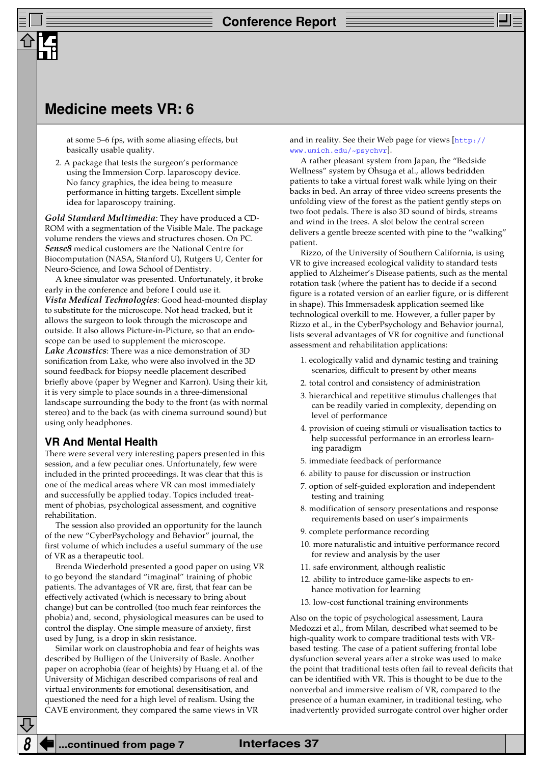## **Medicine meets VR: 6**

at some 5–6 fps, with some aliasing effects, but basically usable quality.

2. A package that tests the surgeon's performance using the Immersion Corp. laparoscopy device. No fancy graphics, the idea being to measure performance in hitting targets. Excellent simple idea for laparoscopy training.

*Gold Standard Multimedia*: They have produced a CD-ROM with a segmentation of the Visible Male. The package volume renders the views and structures chosen. On PC. *Sense8* medical customers are the National Centre for Biocomputation (NASA, Stanford U), Rutgers U, Center for Neuro-Science, and Iowa School of Dentistry.

A knee simulator was presented. Unfortunately, it broke early in the conference and before I could use it. *Vista Medical Technologies*: Good head-mounted display to substitute for the microscope. Not head tracked, but it allows the surgeon to look through the microscope and outside. It also allows Picture-in-Picture, so that an endoscope can be used to supplement the microscope. *Lake Acoustics*: There was a nice demonstration of 3D sonification from Lake, who were also involved in the 3D sound feedback for biopsy needle placement described briefly above (paper by Wegner and Karron). Using their kit, it is very simple to place sounds in a three-dimensional landscape surrounding the body to the front (as with normal stereo) and to the back (as with cinema surround sound) but using only headphones.

#### **VR And Mental Health**

There were several very interesting papers presented in this session, and a few peculiar ones. Unfortunately, few were included in the printed proceedings. It was clear that this is one of the medical areas where VR can most immediately and successfully be applied today. Topics included treatment of phobias, psychological assessment, and cognitive rehabilitation.

The session also provided an opportunity for the launch of the new "CyberPsychology and Behavior" journal, the first volume of which includes a useful summary of the use of VR as a therapeutic tool.

Brenda Wiederhold presented a good paper on using VR to go beyond the standard "imaginal" training of phobic patients. The advantages of VR are, first, that fear can be effectively activated (which is necessary to bring about change) but can be controlled (too much fear reinforces the phobia) and, second, physiological measures can be used to control the display. One simple measure of anxiety, first used by Jung, is a drop in skin resistance.

Similar work on claustrophobia and fear of heights was described by Bulligen of the University of Basle. Another paper on acrophobia (fear of heights) by Huang et al. of the University of Michigan described comparisons of real and virtual environments for emotional desensitisation, and questioned the need for a high level of realism. Using the CAVE environment, they compared the same views in VR

[and in reality. See their Web page for views \[](http://www.umich.edu/~psychvr/)http:// www.umich.edu/~psychvr].

A rather pleasant system from Japan, the "Bedside Wellness" system by Ohsuga et al., allows bedridden patients to take a virtual forest walk while lying on their backs in bed. An array of three video screens presents the unfolding view of the forest as the patient gently steps on two foot pedals. There is also 3D sound of birds, streams and wind in the trees. A slot below the central screen delivers a gentle breeze scented with pine to the "walking" patient.

Rizzo, of the University of Southern California, is using VR to give increased ecological validity to standard tests applied to Alzheimer's Disease patients, such as the mental rotation task (where the patient has to decide if a second figure is a rotated version of an earlier figure, or is different in shape). This Immersadesk application seemed like technological overkill to me. However, a fuller paper by Rizzo et al., in the CyberPsychology and Behavior journal, lists several advantages of VR for cognitive and functional assessment and rehabilitation applications:

- 1. ecologically valid and dynamic testing and training scenarios, difficult to present by other means
- 2. total control and consistency of administration
- 3. hierarchical and repetitive stimulus challenges that can be readily varied in complexity, depending on level of performance
- 4. provision of cueing stimuli or visualisation tactics to help successful performance in an errorless learning paradigm
- 5. immediate feedback of performance
- 6. ability to pause for discussion or instruction
- 7. option of self-guided exploration and independent testing and training
- 8. modification of sensory presentations and response requirements based on user's impairments
- 9. complete performance recording
- 10. more naturalistic and intuitive performance record for review and analysis by the user
- 11. safe environment, although realistic
- 12. ability to introduce game-like aspects to enhance motivation for learning
- 13. low-cost functional training environments

Also on the topic of psychological assessment, Laura Medozzi et al., from Milan, described what seemed to be high-quality work to compare traditional tests with VRbased testing. The case of a patient suffering frontal lobe dysfunction several years after a stroke was used to make the point that traditional tests often fail to reveal deficits that can be identified with VR. This is thought to be due to the nonverbal and immersive realism of VR, compared to the presence of a human examiner, in traditional testing, who inadvertently provided surrogate control over higher order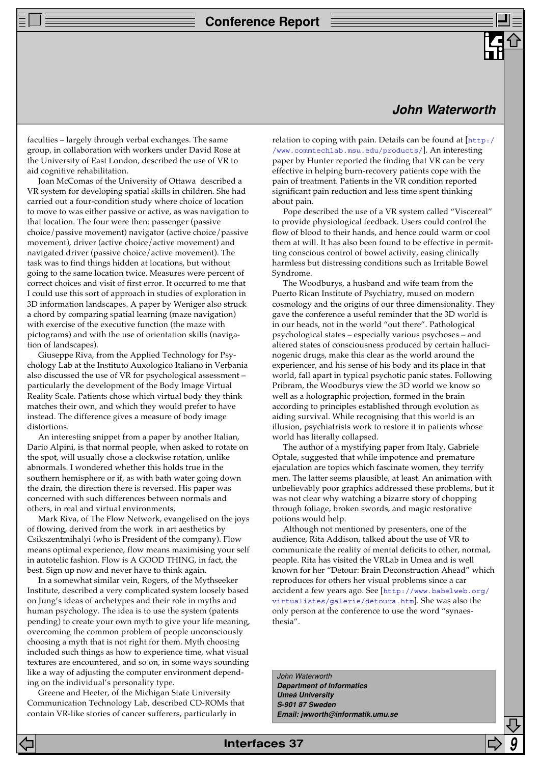## **Conference Report**

## **John Waterworth**

faculties – largely through verbal exchanges. The same group, in collaboration with workers under David Rose at the University of East London, described the use of VR to aid cognitive rehabilitation.

Joan McComas of the University of Ottawa described a VR system for developing spatial skills in children. She had carried out a four-condition study where choice of location to move to was either passive or active, as was navigation to that location. The four were then: passenger (passive choice/passive movement) navigator (active choice/passive movement), driver (active choice/active movement) and navigated driver (passive choice/active movement). The task was to find things hidden at locations, but without going to the same location twice. Measures were percent of correct choices and visit of first error. It occurred to me that I could use this sort of approach in studies of exploration in 3D information landscapes. A paper by Weniger also struck a chord by comparing spatial learning (maze navigation) with exercise of the executive function (the maze with pictograms) and with the use of orientation skills (navigation of landscapes).

Giuseppe Riva, from the Applied Technology for Psychology Lab at the Instituto Auxologico Italiano in Verbania also discussed the use of VR for psychological assessment – particularly the development of the Body Image Virtual Reality Scale. Patients chose which virtual body they think matches their own, and which they would prefer to have instead. The difference gives a measure of body image distortions.

An interesting snippet from a paper by another Italian, Dario Alpini, is that normal people, when asked to rotate on the spot, will usually chose a clockwise rotation, unlike abnormals. I wondered whether this holds true in the southern hemisphere or if, as with bath water going down the drain, the direction there is reversed. His paper was concerned with such differences between normals and others, in real and virtual environments,

Mark Riva, of The Flow Network, evangelised on the joys of flowing, derived from the work in art aesthetics by Csikszentmihalyi (who is President of the company). Flow means optimal experience, flow means maximising your self in autotelic fashion. Flow is A GOOD THING, in fact, the best. Sign up now and never have to think again.

In a somewhat similar vein, Rogers, of the Mythseeker Institute, described a very complicated system loosely based on Jung's ideas of archetypes and their role in myths and human psychology. The idea is to use the system (patents pending) to create your own myth to give your life meaning, overcoming the common problem of people unconsciously choosing a myth that is not right for them. Myth choosing included such things as how to experience time, what visual textures are encountered, and so on, in some ways sounding like a way of adjusting the computer environment depending on the individual's personality type.

Greene and Heeter, of the Michigan State University Communication Technology Lab, described CD-ROMs that contain VR-like stories of cancer sufferers, particularly in

relation to coping with pain. Details can be found at  $[http://www.cap.00]$ /www.commtechlab.msu.edu/products/]. An interesting paper by Hunter reported the finding that VR can be very effective in helping burn-recovery patients cope with the pain of treatment. Patients in the VR condition reported significant pain reduction and less time spent thinking about pain.

Pope described the use of a VR system called "Viscereal" to provide physiological feedback. Users could control the flow of blood to their hands, and hence could warm or cool them at will. It has also been found to be effective in permitting conscious control of bowel activity, easing clinically harmless but distressing conditions such as Irritable Bowel Syndrome.

The Woodburys, a husband and wife team from the Puerto Rican Institute of Psychiatry, mused on modern cosmology and the origins of our three dimensionality. They gave the conference a useful reminder that the 3D world is in our heads, not in the world "out there". Pathological psychological states – especially various psychoses – and altered states of consciousness produced by certain hallucinogenic drugs, make this clear as the world around the experiencer, and his sense of his body and its place in that world, fall apart in typical psychotic panic states. Following Pribram, the Woodburys view the 3D world we know so well as a holographic projection, formed in the brain according to principles established through evolution as aiding survival. While recognising that this world is an illusion, psychiatrists work to restore it in patients whose world has literally collapsed.

The author of a mystifying paper from Italy, Gabriele Optale, suggested that while impotence and premature ejaculation are topics which fascinate women, they terrify men. The latter seems plausible, at least. An animation with unbelievably poor graphics addressed these problems, but it was not clear why watching a bizarre story of chopping through foliage, broken swords, and magic restorative potions would help.

Although not mentioned by presenters, one of the audience, Rita Addison, talked about the use of VR to communicate the reality of mental deficits to other, normal, people. Rita has visited the VRLab in Umea and is well known for her "Detour: Brain Deconstruction Ahead" which reproduces for others her visual problems since a car accident a few years ago. See [http://www.babelweb.org/ [virtualistes/galerie/detoura.htm](http://www.virtualgalen.com/virtualhealing/braininjury.htm)]. She was also the only person at the conference to use the word "synaesthesia".

John Waterworth **Department of Informatics Umeå University S-901 87 Sweden Email: jwworth@informatik.umu.se**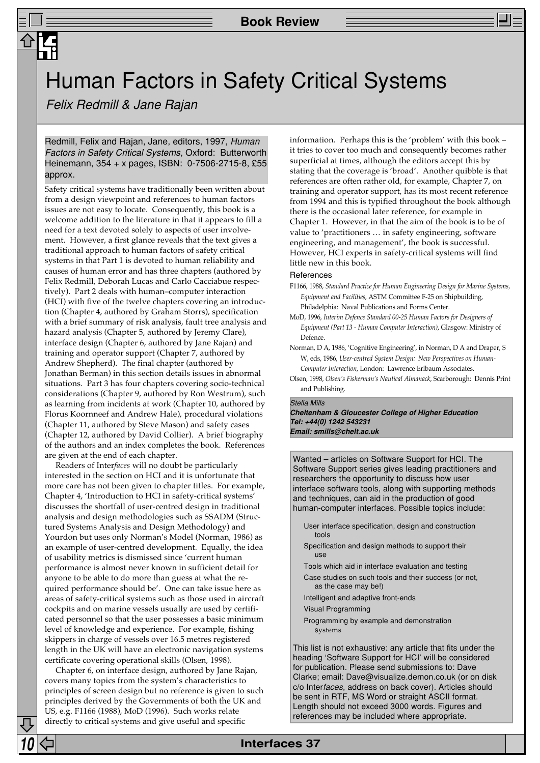## Human Factors in Safety Critical Systems

Felix Redmill & Jane Rajan

Redmill, Felix and Rajan, Jane, editors, 1997, Human Factors in Safety Critical Systems, Oxford: Butterworth Heinemann, 354 + x pages, ISBN: 0-7506-2715-8, £55 approx.

Safety critical systems have traditionally been written about from a design viewpoint and references to human factors issues are not easy to locate. Consequently, this book is a welcome addition to the literature in that it appears to fill a need for a text devoted solely to aspects of user involvement. However, a first glance reveals that the text gives a traditional approach to human factors of safety critical systems in that Part 1 is devoted to human reliability and causes of human error and has three chapters (authored by Felix Redmill, Deborah Lucas and Carlo Cacciabue respectively). Part 2 deals with human–computer interaction (HCI) with five of the twelve chapters covering an introduction (Chapter 4, authored by Graham Storrs), specification with a brief summary of risk analysis, fault tree analysis and hazard analysis (Chapter 5, authored by Jeremy Clare), interface design (Chapter 6, authored by Jane Rajan) and training and operator support (Chapter 7, authored by Andrew Shepherd). The final chapter (authored by Jonathan Berman) in this section details issues in abnormal situations. Part 3 has four chapters covering socio-technical considerations (Chapter 9, authored by Ron Westrum), such as learning from incidents at work (Chapter 10, authored by Florus Koornneef and Andrew Hale), procedural violations (Chapter 11, authored by Steve Mason) and safety cases (Chapter 12, authored by David Collier). A brief biography of the authors and an index completes the book. References are given at the end of each chapter.

Readers of Inter*faces* will no doubt be particularly interested in the section on HCI and it is unfortunate that more care has not been given to chapter titles. For example, Chapter 4, 'Introduction to HCI in safety-critical systems' discusses the shortfall of user-centred design in traditional analysis and design methodologies such as SSADM (Structured Systems Analysis and Design Methodology) and Yourdon but uses only Norman's Model (Norman, 1986) as an example of user-centred development. Equally, the idea of usability metrics is dismissed since 'current human performance is almost never known in sufficient detail for anyone to be able to do more than guess at what the required performance should be'. One can take issue here as areas of safety-critical systems such as those used in aircraft cockpits and on marine vessels usually are used by certificated personnel so that the user possesses a basic minimum level of knowledge and experience. For example, fishing skippers in charge of vessels over 16.5 metres registered length in the UK will have an electronic navigation systems certificate covering operational skills (Olsen, 1998).

Chapter 6, on interface design, authored by Jane Rajan, covers many topics from the system's characteristics to principles of screen design but no reference is given to such principles derived by the Governments of both the UK and US, e.g. F1166 (1988), MoD (1996). Such works relate directly to critical systems and give useful and specific

information. Perhaps this is the 'problem' with this book – it tries to cover too much and consequently becomes rather superficial at times, although the editors accept this by stating that the coverage is 'broad'. Another quibble is that references are often rather old, for example, Chapter 7, on training and operator support, has its most recent reference from 1994 and this is typified throughout the book although there is the occasional later reference, for example in Chapter 1. However, in that the aim of the book is to be of value to 'practitioners … in safety engineering, software engineering, and management', the book is successful. However, HCI experts in safety-critical systems will find little new in this book.

#### References

- F1166, 1988, *Standard Practice for Human Engineering Design for Marine Systems, Equipment and Facilities*, ASTM Committee F-25 on Shipbuilding, Philadelphia: Naval Publications and Forms Center.
- MoD, 1996, *Interim Defence Standard 00-25 Human Factors for Designers of Equipment (Part 13 - Human Computer Interaction)*, Glasgow: Ministry of Defence.
- Norman, D A, 1986, 'Cognitive Engineering', in Norman, D A and Draper, S W, eds, 1986, *User-centred System Design: New Perspectives on Human-Computer Interaction,* London: Lawrence Erlbaum Associates.
- Olsen, 1998, *Olsen's Fisherman's Nautical Almanack*, Scarborough: Dennis Print and Publishing.

#### Stella Mills

**Cheltenham & Gloucester College of Higher Education Tel: +44(0) 1242 543231 Email: smills@chelt.ac.uk**

Wanted – articles on Software Support for HCI. The Software Support series gives leading practitioners and researchers the opportunity to discuss how user interface software tools, along with supporting methods and techniques, can aid in the production of good human-computer interfaces. Possible topics include:

- User interface specification, design and construction tools
- Specification and design methods to support their use
- Tools which aid in interface evaluation and testing
- Case studies on such tools and their success (or not, as the case may be!)
- Intelligent and adaptive front-ends Visual Programming
- Programming by example and demonstration systems

This list is not exhaustive: any article that fits under the heading 'Software Support for HCI' will be considered for publication. Please send submissions to: Dave Clarke; email: Dave@visualize.demon.co.uk (or on disk c/o Interfaces, address on back cover). Articles should be sent in RTF, MS Word or straight ASCII format. Length should not exceed 3000 words. Figures and references may be included where appropriate.

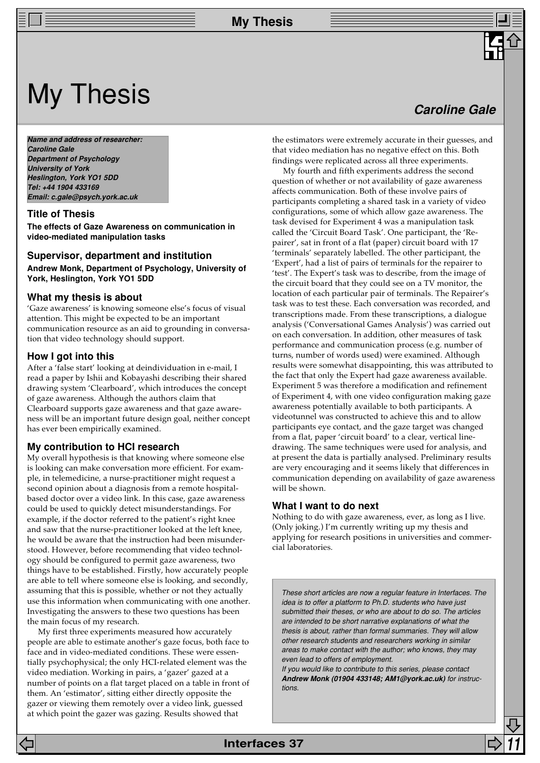## My Thesis

**Name and address of researcher: Caroline Gale Department of Psychology University of York Heslington, York YO1 5DD Tel: +44 1904 433169 Email: c.gale@psych.york.ac.uk**

#### **Title of Thesis**

**The effects of Gaze Awareness on communication in video-mediated manipulation tasks**

#### **Supervisor, department and institution Andrew Monk, Department of Psychology, University of York, Heslington, York YO1 5DD**

#### **What my thesis is about**

'Gaze awareness' is knowing someone else's focus of visual attention. This might be expected to be an important communication resource as an aid to grounding in conversation that video technology should support.

#### **How I got into this**

After a 'false start' looking at deindividuation in e-mail, I read a paper by Ishii and Kobayashi describing their shared drawing system 'Clearboard', which introduces the concept of gaze awareness. Although the authors claim that Clearboard supports gaze awareness and that gaze awareness will be an important future design goal, neither concept has ever been empirically examined.

#### **My contribution to HCI research**

My overall hypothesis is that knowing where someone else is looking can make conversation more efficient. For example, in telemedicine, a nurse-practitioner might request a second opinion about a diagnosis from a remote hospitalbased doctor over a video link. In this case, gaze awareness could be used to quickly detect misunderstandings. For example, if the doctor referred to the patient's right knee and saw that the nurse-practitioner looked at the left knee, he would be aware that the instruction had been misunderstood. However, before recommending that video technology should be configured to permit gaze awareness, two things have to be established. Firstly, how accurately people are able to tell where someone else is looking, and secondly, assuming that this is possible, whether or not they actually use this information when communicating with one another. Investigating the answers to these two questions has been the main focus of my research.

My first three experiments measured how accurately people are able to estimate another's gaze focus, both face to face and in video-mediated conditions. These were essentially psychophysical; the only HCI-related element was the video mediation. Working in pairs, a 'gazer' gazed at a number of points on a flat target placed on a table in front of them. An 'estimator', sitting either directly opposite the gazer or viewing them remotely over a video link, guessed at which point the gazer was gazing. Results showed that

## **Caroline Gale**

the estimators were extremely accurate in their guesses, and that video mediation has no negative effect on this. Both findings were replicated across all three experiments.

My fourth and fifth experiments address the second question of whether or not availability of gaze awareness affects communication. Both of these involve pairs of participants completing a shared task in a variety of video configurations, some of which allow gaze awareness. The task devised for Experiment 4 was a manipulation task called the 'Circuit Board Task'. One participant, the 'Repairer', sat in front of a flat (paper) circuit board with 17 'terminals' separately labelled. The other participant, the 'Expert', had a list of pairs of terminals for the repairer to 'test'. The Expert's task was to describe, from the image of the circuit board that they could see on a TV monitor, the location of each particular pair of terminals. The Repairer's task was to test these. Each conversation was recorded, and transcriptions made. From these transcriptions, a dialogue analysis ('Conversational Games Analysis') was carried out on each conversation. In addition, other measures of task performance and communication process (e.g. number of turns, number of words used) were examined. Although results were somewhat disappointing, this was attributed to the fact that only the Expert had gaze awareness available. Experiment 5 was therefore a modification and refinement of Experiment 4, with one video configuration making gaze awareness potentially available to both participants. A videotunnel was constructed to achieve this and to allow participants eye contact, and the gaze target was changed from a flat, paper 'circuit board' to a clear, vertical linedrawing. The same techniques were used for analysis, and at present the data is partially analysed. Preliminary results are very encouraging and it seems likely that differences in communication depending on availability of gaze awareness will be shown.

#### **What I want to do next**

Nothing to do with gaze awareness, ever, as long as I live. (Only joking.) I'm currently writing up my thesis and applying for research positions in universities and commercial laboratories.

These short articles are now a regular feature in Interfaces. The idea is to offer a platform to Ph.D. students who have just submitted their theses, or who are about to do so. The articles are intended to be short narrative explanations of what the thesis is about, rather than formal summaries. They will allow other research students and researchers working in similar areas to make contact with the author; who knows, they may even lead to offers of employment.

If you would like to contribute to this series, please contact **Andrew Monk (01904 433148; AM1@york.ac.uk)** for instructions.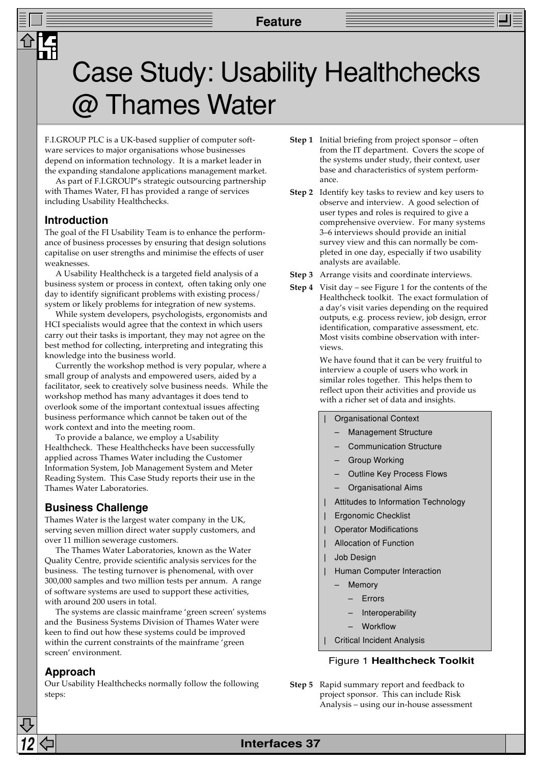# Case Study: Usability Healthchecks  $@$  Thames Water

F.I.GROUP PLC is a UK-based supplier of computer software services to major organisations whose businesses depend on information technology. It is a market leader in the expanding standalone applications management market.

As part of F.I.GROUP's strategic outsourcing partnership with Thames Water, FI has provided a range of services including Usability Healthchecks.

### **Introduction**

The goal of the FI Usability Team is to enhance the performance of business processes by ensuring that design solutions capitalise on user strengths and minimise the effects of user weaknesses.

A Usability Healthcheck is a targeted field analysis of a business system or process in context, often taking only one day to identify significant problems with existing process/ system or likely problems for integration of new systems.

While system developers, psychologists, ergonomists and HCI specialists would agree that the context in which users carry out their tasks is important, they may not agree on the best method for collecting, interpreting and integrating this knowledge into the business world.

Currently the workshop method is very popular, where a small group of analysts and empowered users, aided by a facilitator, seek to creatively solve business needs. While the workshop method has many advantages it does tend to overlook some of the important contextual issues affecting business performance which cannot be taken out of the work context and into the meeting room.

To provide a balance, we employ a Usability Healthcheck. These Healthchecks have been successfully applied across Thames Water including the Customer Information System, Job Management System and Meter Reading System. This Case Study reports their use in the Thames Water Laboratories.

### **Business Challenge**

Thames Water is the largest water company in the UK, serving seven million direct water supply customers, and over 11 million sewerage customers.

The Thames Water Laboratories, known as the Water Quality Centre, provide scientific analysis services for the business. The testing turnover is phenomenal, with over 300,000 samples and two million tests per annum. A range of software systems are used to support these activities, with around 200 users in total.

The systems are classic mainframe 'green screen' systems and the Business Systems Division of Thames Water were keen to find out how these systems could be improved within the current constraints of the mainframe 'green screen' environment.

#### **Approach**

Our Usability Healthchecks normally follow the following steps:

- **Step 1** Initial briefing from project sponsor often from the IT department. Covers the scope of the systems under study, their context, user base and characteristics of system performance.
- **Step 2** Identify key tasks to review and key users to observe and interview. A good selection of user types and roles is required to give a comprehensive overview. For many systems 3–6 interviews should provide an initial survey view and this can normally be completed in one day, especially if two usability analysts are available.
- **Step 3** Arrange visits and coordinate interviews.
- **Step 4** Visit day see Figure 1 for the contents of the Healthcheck toolkit. The exact formulation of a day's visit varies depending on the required outputs, e.g. process review, job design, error identification, comparative assessment, etc. Most visits combine observation with interviews

We have found that it can be very fruitful to interview a couple of users who work in similar roles together. This helps them to reflect upon their activities and provide us with a richer set of data and insights.

#### **|** Organisational Context

- Management Structure
- Communication Structure
- Group Working
- Outline Key Process Flows
- Organisational Aims
- **|** Attitudes to Information Technology
- **|** Ergonomic Checklist
- **|** Operator Modifications
- **|** Allocation of Function
- **|** Job Design
- **|** Human Computer Interaction
	- **Memory**
	- **Errors**
	- **Interoperability**
	- Workflow
- **|** Critical Incident Analysis

#### Figure 1 **Healthcheck Toolkit**

**Step 5** Rapid summary report and feedback to project sponsor. This can include Risk Analysis – using our in-house assessment

**12 Interfaces 37**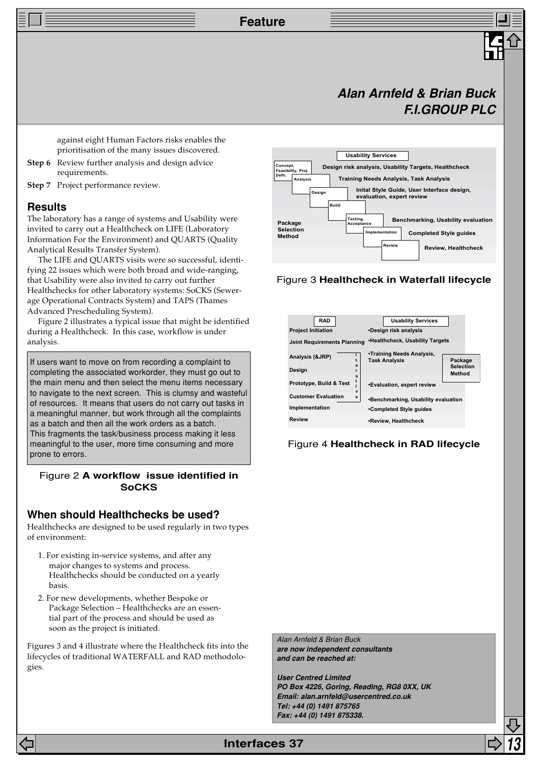**Feature**

## **Alan Arnfeld & Brian Buck F.I.GROUP PLC**

against eight Human Factors risks enables the prioritisation of the many issues discovered.

- **Step 6** Review further analysis and design advice requirements.
- **Step 7** Project performance review.

#### **Results**

The laboratory has a range of systems and Usability were invited to carry out a Healthcheck on LIFE (Laboratory Information For the Environment) and QUARTS (Quality Analytical Results Transfer System).

The LIFE and QUARTS visits were so successful, identifying 22 issues which were both broad and wide-ranging, that Usability were also invited to carry out further Healthchecks for other laboratory systems: SoCKS (Sewerage Operational Contracts System) and TAPS (Thames Advanced Prescheduling System).

Figure 2 illustrates a typical issue that might be identified during a Healthcheck. In this case, workflow is under analysis.

If users want to move on from recording a complaint to completing the associated workorder, they must go out to the main menu and then select the menu items necessary to navigate to the next screen. This is clumsy and wasteful of resources. It means that users do not carry out tasks in a meaningful manner, but work through all the complaints as a batch and then all the work orders as a batch. This fragments the task/business process making it less meaningful to the user, more time consuming and more prone to errors.

### Figure 2 **A workflow issue identified in SoCKS**

#### **When should Healthchecks be used?**

Healthchecks are designed to be used regularly in two types of environment:

- 1. For existing in-service systems, and after any major changes to systems and process. Healthchecks should be conducted on a yearly basis.
- 2. For new developments, whether Bespoke or Package Selection – Healthchecks are an essential part of the process and should be used as soon as the project is initiated.

Figures 3 and 4 illustrate where the Healthcheck fits into the lifecycles of traditional WATERFALL and RAD methodologies.

**Concept, Feasibility, Proj. Defn. Analysis Design Build Testing, Acceptance Intation Review Design risk analysis, Usability Targets, Healthcheck Training Needs Analysis, Task Analysis Inital Style Guide, User Interface design, evaluation, expert review Benchmarking, Usability evaluation Completed Style guides Review, Healthcheck Package Selection Method Usability Services**

#### Figure 3 **Healthcheck in Waterfall lifecycle**



Figure 4 **Healthcheck in RAD lifecycle**

Alan Arnfeld & Brian Buck **are now independent consultants and can be reached at:**

**User Centred Limited PO Box 4226, Goring, Reading, RG8 0XX, UK Email: alan.arnfeld@usercentred.co.uk Tel: +44 (0) 1491 875765 Fax: +44 (0) 1491 875338.**

**Interfaces 37**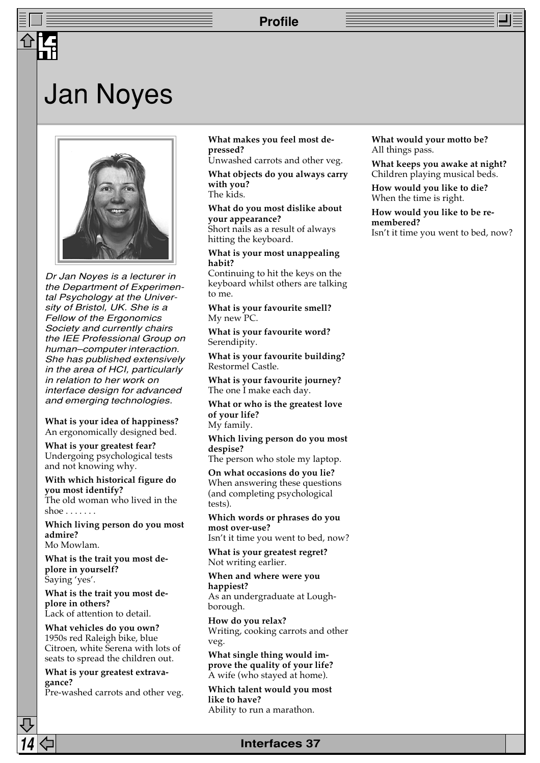### **Profile**

## Jan Noyes



Dr Jan Noyes is a lecturer in the Department of Experimental Psychology at the University of Bristol, UK. She is a Fellow of the Ergonomics Society and currently chairs the IEE Professional Group on human–computer interaction. She has published extensively in the area of HCI, particularly in relation to her work on interface design for advanced and emerging technologies.

**What is your idea of happiness?** An ergonomically designed bed.

**What is your greatest fear?** Undergoing psychological tests and not knowing why.

**With which historical figure do you most identify?** The old woman who lived in the

shoe  $\ldots$  . . . .

**Which living person do you most admire?** Mo Mowlam.

**What is the trait you most deplore in yourself?** Saying 'yes'.

**What is the trait you most deplore in others?** Lack of attention to detail.

**What vehicles do you own?** 1950s red Raleigh bike, blue Citroen, white Serena with lots of seats to spread the children out.

**What is your greatest extravagance?**

Pre-washed carrots and other veg.

#### **What makes you feel most depressed?**

Unwashed carrots and other veg.

**What objects do you always carry with you?** The kids.

**What do you most dislike about your appearance?**

Short nails as a result of always hitting the keyboard.

**What is your most unappealing habit?**

Continuing to hit the keys on the keyboard whilst others are talking to me.

**What is your favourite smell?** My new PC.

**What is your favourite word?** Serendipity.

**What is your favourite building?** Restormel Castle.

**What is your favourite journey?** The one I make each day.

**What or who is the greatest love of your life?** My family.

**Which living person do you most despise?**

The person who stole my laptop.

**On what occasions do you lie?** When answering these questions (and completing psychological tests).

**Which words or phrases do you most over-use?**

Isn't it time you went to bed, now?

**What is your greatest regret?** Not writing earlier.

**When and where were you happiest?**

As an undergraduate at Loughborough.

**How do you relax?** Writing, cooking carrots and other veg.

**What single thing would improve the quality of your life?** A wife (who stayed at home).

**Which talent would you most like to have?** Ability to run a marathon.

**14 Interfaces 37**

**What would your motto be?** All things pass.

**What keeps you awake at night?** Children playing musical beds.

**How would you like to die?** When the time is right.

**How would you like to be remembered?** Isn't it time you went to bed, now?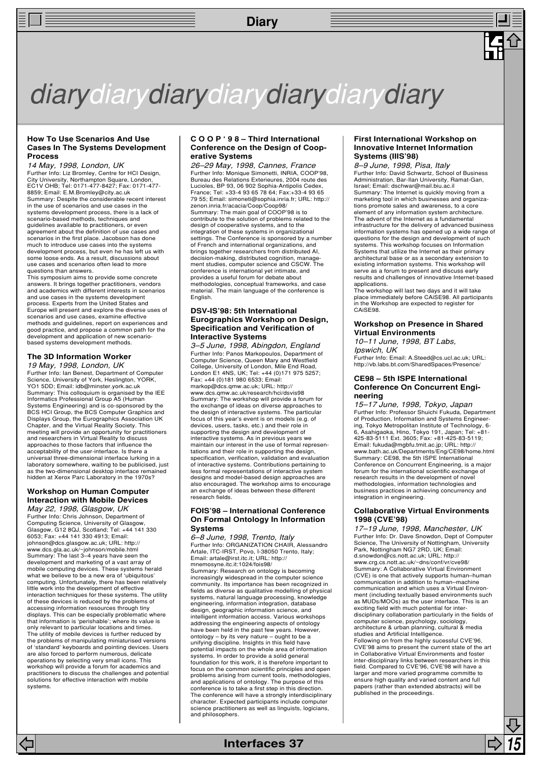**Diary**

# diarydiarydiarydiarydiarydiarydiary

#### **How To Use Scenarios And Use Cases In The Systems Development Process**

14 May, 1998, London, UK

Further Info: Liz Bromley, Centre for HCI Design, City University, Northampton Square, London, EC1V OHB; Tel: 0171-477-8427; Fax: 0171-477- 8859; Email: E.M.Bromley@city.ac.uk Summary: Despite the considerable recent interest in the use of scenarios and use cases in the systems development process, there is a lack of scenario-based methods, techniques and guidelines available to practitioners, or even agreement about the definition of use cases and scenarios in the first place. Jacobson has done much to introduce use cases into the systems development process, but even he has left us with some loose ends. As a result, discussions about use cases and scenarios often lead to more

questions than answers. This symposium aims to provide some concrete answers. It brings together practitioners, vendors and academics with different interests in scenarios and use cases in the systems development process. Experts from the United States and Europe will present and explore the diverse uses of scenarios and use cases, examine effective methods and guidelines, report on experiences and good practice, and propose a common path for the development and application of new scenariobased systems development methods.

#### **The 3D Information Worker**

19 May, 1998, London, UK Further Info: Ian Benest, Department of Computer Science, University of York, Heslington, YORK, YO1 5DD; Email: idb@minster.york.ac.uk Summary: This colloquium is organised by the IEE Informatics Professional Group A5 (Human Systems Engineering) and is co-sponsored by the BCS HCI Group, the BCS Computer Graphics and Displays Group, the Eurographics Association UK Chapter, and the Virtual Reality Society. This meeting will provide an opportunity for practitioners and researchers in Virtual Reality to discuss approaches to those factors that influence the acceptability of the user-interface. Is there a universal three-dimensional interface lurking in a laboratory somewhere, waiting to be publicised, just as the two-dimensional desktop interface remained hidden at Xerox Parc Laboratory in the 1970s?

#### **Workshop on Human Computer Interaction with Mobile Devices** May 22, 1998, Glasgow, UK

Further Info: Chris Johnson, Department of Computing Science, University of Glasgow, Glasgow, G12 8QJ, Scotland; Tel: +44 141 330 6053; Fax: +44 141 330 4913; Email: johnson@dcs.glasgow.ac.uk; URL: http:// www.dcs.gla.ac.uk/~johnson/mobile.html Summary: The last 3–4 years have seen the development and marketing of a vast array of mobile computing devices. These systems herald what we believe to be a new era of 'ubiquitous' computing. Unfortunately, there has been relatively little work into the development of effective interaction techniques for these systems. The utility of these devices is reduced by the problems of accessing information resources through tiny displays. This can be especially problematic where that information is 'perishable'; where its value is only relevant to particular locations and times. The utility of mobile devices is further reduced by the problems of manipulating miniaturised versions of 'standard' keyboards and pointing devices. Users are also forced to perform numerous, delicate operations by selecting very small icons. This workshop will provide a forum for academics and practitioners to discuss the challenges and potential solutions for effective interaction with mobile systems.

#### **C O O P ' 9 8 – Third International Conference on the Design of Cooperative Systems**

26–29 May, 1998, Cannes, France Further Info: Monique Simonetti, INRIA, COOP'98, Bureau des Relations Exterieures, 2004 route des Lucioles, BP 93, 06 902 Sophia-Antipolis Cedex, France; Tel: +33-4 93 65 78 64; Fax:+33-4 93 65 79 55; Email: simoneti@sophia.inria.fr; URL: http:// zenon.inria.fr/acacia/Coop/Coop98/ Summary: The main goal of COOP'98 is to contribute to the solution of problems related to the design of cooperative systems, and to the integration of these systems in organizational settings. The Conference is sponsored by a number of French and international organizations, and brings together researchers from distributed AI, decision-making, distributed cognition, manage-ment studies, computer science and CSCW. The conference is international yet intimate, and provides a useful forum for debate about methodologies, conceptual frameworks, and case material. The main language of the conference is English.

#### **DSV-IS'98: 5th International Eurographics Workshop on Design, Specification and Verification of Interactive Systems**

3–5 June, 1998, Abingdon, England Further Info: Panos Markopoulos, Department of Computer Science, Queen Mary and Westfield College, University of London, Mile End Road, London E1 4NS, UK; Tel: +44 (0)171 975 5257; Fax: +44 (0)181 980 6533; Email: markop@dcs.qmw.ac.uk; URL: http:// www.dcs.gmw.ac.uk/research/hci/dsvis98 Summary: The workshop will provide a forum for the exchange of ideas on diverse approaches to the design of interactive systems. The particular focus of this year's event is on models (e.g. of devices, users, tasks, etc.) and their role in supporting the design and development of interactive systems. As in previous years we maintain our interest in the use of formal representations and their role in supporting the design, specification, verification, validation and evaluation of interactive systems. Contributions pertaining to less formal representations of interactive system designs and model-based design approaches are also encouraged. The workshop aims to encourage an exchange of ideas between these different research fields.

#### **FOIS'98 – International Conference On Formal Ontology In Information Systems**

6–8 June, 1998, Trento, Italy Further Info: ORGANIZATION CHAIR, Alessandro Artale, ITC-IRST, Povo, I-38050 Trento, Italy; Email: artale@irst.itc.it; URL: http:// mnemosyne.itc.it:1024/fois98/ Summary: Research on ontology is becoming increasingly widespread in the computer science community. Its importance has been recognized in fields as diverse as qualitative modelling of physical systems, natural language processing, knowledge engineering, information integration, database design, geographic information science, and intelligent information access. Various workshops addressing the engineering aspects of ontology have been held in the past few years. However, ontology – by its very nature – ought to be a unifying discipline. Insights in this field have potential impacts on the whole area of information systems. In order to provide a solid general foundation for this work, it is therefore important to focus on the common scientific principles and open problems arising from current tools, methodologies, and applications of ontology. The purpose of this conference is to take a first step in this direction. The conference will have a strongly interdisciplinary character. Expected participants include computer science practitioners as well as linguists, logicians, and philosophers.

#### **First International Workshop on Innovative Internet Information Systems (IIIS'98)**

8–9 June, 1998, Pisa, Italy Further Info: David Schwartz, School of Business Administration, Bar-Ilan University, Ramat-Gan, Israel; Email: dschwar@mail.biu.ac.il Summary: The Internet is quickly moving from a marketing tool in which businesses and organizations promote sales and awareness, to a core element of any information system architecture. The advent of the Internet as a fundamental infrastructure for the delivery of advanced business information systems has opened up a wide range of questions for the design and development of such systems. This workshop focuses on Information Systems that utilize the Internet as their primary architectural base or as a secondary extension to existing information systems. This workshop will serve as a forum to present and discuss early results and challenges of innovative Internet-based applications.

The workshop will last two days and it will take place immediately before CAiSE98. All participants in the Workshop are expected to register for CAiSE98.

#### **Workshop on Presence in Shared Virtual Environments**

10–11 June, 1998, BT Labs, Ipswich, UK

Further Info: Email: A.Steed@cs.ucl.ac.uk; URL: http://vb.labs.bt.com/SharedSpaces/Presence/

#### **CE98 – 5th ISPE International Conference On Concurrent Engineering**

15–17 June, 1998, Tokyo, Japan Further Info: Professor Shuichi Fukuda, Department of Production, Information and Systems Engineer-ing, Tokyo Metropolitan Institute of Technology, 6- 6, Asahigaoka, Hino, Tokyo 191, Japan; Tel: +81- 425-83-5111 Ext. 3605; Fax: +81-425-83-5119; Email: fukuda@mgbfu.tmit.ac.jp; URL: http:// www.bath.ac.uk/Departments/Eng/CE98/home.html Summary: CE98, the 5th ISPE International Conference on Concurrent Engineering, is a major forum for the international scientific exchange of research results in the development of novel methodologies, information technologies and business practices in achieving concurrency and integration in engineering.

#### **Collaborative Virtual Environments 1998 (CVE'98)**

17–19 June, 1998, Manchester, UK Further Info: Dr. Dave Snowdon, Dept of Computer Science, The University of Nottingham, University Park, Nottingham NG7 2RD, UK; Email: d.snowdon@cs.nott.ac.uk; URL: http:// www.crg.cs.nott.ac.uk/~dns/conf/vr/cve98/ Summary: A Collaborative Virtual Environment (CVE) is one that actively supports human–human communication in addition to human–machine communication and which uses a Virtual Environment (including textually based environments such as MUDs/MOOs) as the user interface. This is an exciting field with much potential for interdisciplinary collaboration particularly in the fields of computer science, psychology, sociology, architecture & urban planning, cultural & media studies and Artificial Intelligence. Following on from the highly sucessful CVE'96, CVE'98 aims to present the current state of the art in Collaborative Virtual Environments and foster inter-disciplinary links between researchers in this field. Compared to CVE'96, CVE'98 will have a larger and more varied programme committe to ensure high quality and varied content and full papers (rather than extended abstracts) will be published in the proceedings.

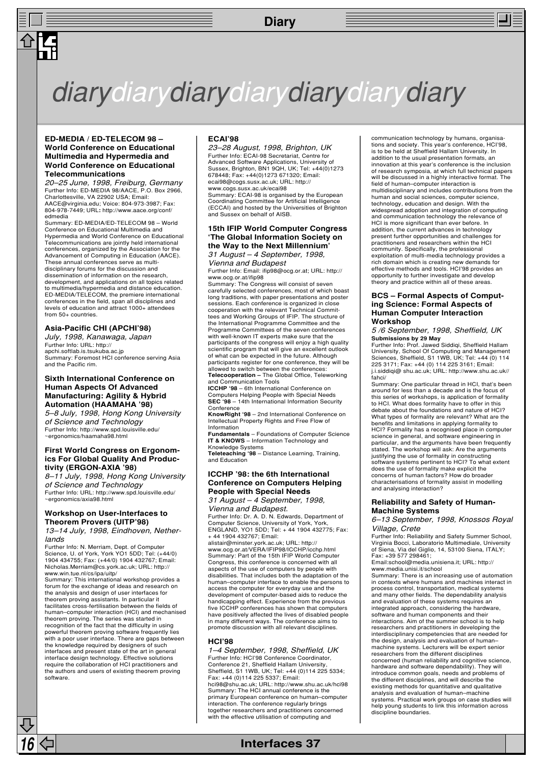### **Diary**



## diarydiarydiarydiarydiarydiarydiary

#### **ED-MEDIA / ED-TELECOM 98 – World Conference on Educational Multimedia and Hypermedia and World Conference on Educational Telecommunications**

20–25 June, 1998, Freiburg, Germany Further Info: ED-MEDIA 98/AACE, P.O. Box 2966, Charlottesville, VA 22902 USA; Email: AACE@virginia.edu; Voice: 804-973-3987; Fax: 804-978-7449; URL**:** http://www.aace.org/conf/ edmedia

Summary: ED-MEDIA/ED-TELECOM 98 – World Conference on Educational Multimedia and Hypermedia and World Conference on Educational Telecommunications are jointly held international conferences, organized by the Association for the Advancement of Computing in Education (AACE). These annual conferences serve as multidisciplinary forums for the discussion and dissemination of information on the research, development, and applications on all topics related to multimedia/hypermedia and distance education. ED-MEDIA/TELECOM, the premiere international conferences in the field, span all disciplines and levels of education and attract 1000+ attendees from 50+ countries.

#### **Asia-Pacific CHI (APCHI'98)**

July, 1998, Kanawaga, Japan Further Info: URL: http:// apchi.softlab.is.tsukuba.ac.jp Summary: Foremost HCI conference serving Asia and the Pacific rim.

#### **Sixth International Conference on Human Aspects Of Advanced Manufacturing: Agility & Hybrid Automation (HAAMAHA '98)**

5–8 July, 1998, Hong Kong University of Science and Technology Further Info: http://www.spd.louisville.edu/ ~ergonomics/haamaha98.html

#### **First World Congress on Ergonomics For Global Quality And Productivity (ERGON-AXIA '98)**

8–11 July, 1998, Hong Kong University of Science and Technology Further Info: URL: http://www.spd.louisville.edu/ ~ergonomics/axia98.html

#### **Workshop on User-Interfaces to Theorem Provers (UITP'98)**

13–14 July, 1998, Eindhoven, Netherlands

Further Info: N. Merriam, Dept. of Computer Science, U. of York, York YO1 5DD; Tel: (+44/0) 1904 434755; Fax: (+44/0) 1904 432767; Email: Nicholas.Merriam@cs.york.ac.uk; URL: http:// www.win.tue.nl/cs/ipa/uitp/

Summary: This international workshop provides a forum for the exchange of ideas and research on the analysis and design of user interfaces for theorem proving assistants. In particular it facilitates cross-fertilisation between the fields of human–computer interaction (HCI) and mechanised theorem proving. The series was started in recognition of the fact that the difficulty in using powerful theorem proving software frequently lies with a poor user interface. There are gaps between the knowledge required by designers of such interfaces and present state of the art in general interface design technology. Effective solutions require the collaboration of HCI practitioners and the authors and users of existing theorem proving software.

#### **ECAI'98**

23–28 August, 1998, Brighton, UK Further Info: ECAI-98 Secretariat, Centre for Advanced Software Applications, University of Sussex, Brighton, BN1 9QH, UK; Tel: +44(0)1273 678448; Fax: +44(0)1273 671320; Email: ecai98@cogs.susx.ac.uk; URL: http:// www.cogs.susx.ac.uk/ecai98

Summary: ECAI-98 is organised by the European Coordinating Committee for Artificial Intelligence (ECCAI) and hosted by the Universities of Brighton and Sussex on behalf of AISB.

#### **15th IFIP World Computer Congress 'The Global Information Society on the Way to the Next Millennium'** 31 August – 4 September, 1998,

Vienna and Budapest

Further Info: Email: ifip98@ocg.or.at; URL: http:// www.ocg.or.at/ifip98

Summary: The Congress will consist of seven carefully selected conferences, most of which boast long traditions, with paper presentations and poster sessions. Each conference is organized in close cooperation with the relevant Technical Committees and Working Groups of IFIP. The structure of the International Programme Committee and the Programme Committees of the seven conferences with well-known IT experts make sure that the participants of the congress will enjoy a high quality scientific program that will give an excellent outlook of what can be expected in the future. Although participants register for one conference, they will be

allowed to switch between the conferences: **Telecooperation –** The Global Office, Teleworking and Communication Tools

**ICCHP '98** – 6th International Conference on Computers Helping People with Special Needs **SEC '98** – 14th International Information Security Conference

**KnowRight '98** – 2nd International Conference on Intellectual Property Rights and Free Flow of Information

**Fundamentals** – Foundations of Computer Science **IT & KNOWS** – Information Technology and Knowledge Systems

**Teleteaching '98** – Distance Learning, Training, and Education

#### **ICCHP '98: the 6th International Conference on Computers Helping People with Special Needs**

31 August – 4 September, 1998, Vienna and Budapest.

Further Info: Dr. A. D. N. Edwards, Department of Computer Science, University of York, York, ENGLAND, YO1 5DD; Tel: + 44 1904 432775; Fax: + 44 1904 432767; Email:

alistair@minster.york.ac.uk; URL: http:// www.ocg.or.at/VERA/IFIP98/ICCHP/icchp.html Summary: Part of the 15th IFIP World Computer Congress, this conference is concerned with all aspects of the use of computers by people with disabilities. That includes both the adaptation of the human–computer interface to enable the persons to access the computer for everyday use and the development of computer-based aids to reduce the handicapping effect. Experience from the previous five ICCHP conferences has shown that computers have positively affected the lives of disabled people in many different ways. The conference aims to promote discussion with all relevant disciplines.

#### **HCI'98**

1–4 September, 1998, Sheffield, UK Further Info: HCI'98 Conference Coordinator, Conference 21, Sheffield Hallam University, Sheffield, S1 1WB, UK; Tel: +44 (0)114 225 5334; Fax: +44 (0)114 225 5337; Email: hci98@shu.ac.uk; URL: http://www.shu.ac.uk/hci98 Summary: The HCI annual conference is the primary European conference on human–computer interaction. The conference regularly brings together researchers and practitioners concerned with the effective utilisation of computing and

**16 Interfaces 37**

communication technology by humans, organisa-tions and society. This year's conference, HCI'98, is to be held at Sheffield Hallam University. In addition to the usual presentation formats, an innovation at this year's conference is the inclusion of research symposia, at which full technical papers will be discussed in a highly interactive format. The field of human–computer interaction is multidisciplinary and includes contributions from the human and social sciences, computer science, technology, education and design. With the widespread adoption and integration of computing and communication technology the relevance of HCI is more significant than ever before. In addition, the current advances in technology present further opportunities and challenges for practitioners and researchers within the HCI community. Specifically, the professional exploitation of multi-media technology provides a rich domain which is creating new demands for effective methods and tools. HCI'98 provides an opportunity to further investigate and develop theory and practice within all of these areas.

#### **BCS – Formal Aspects of Computing Science: Formal Aspects of Human Computer Interaction Workshop**

5 /6 September, 1998, Sheffield, UK **Submissions by 29 May**

Further Info: Prof. Jawed Siddiqi, Sheffield Hallam University, School Of Computing and Management Sciences, Sheffield, S1 1WB, UK; Tel: +44 (0) 114 225 3171; Fax: +44 (0) 114 225 3161; Email: j.i.siddiqi@ shu.ac.uk; URL: http://www.shu.ac.uk// fahci/

Summary: One particular thread in HCI, that's been around for less than a decade and is the focus of this series of workshops, is application of formality to HCI. What does formality have to offer in this debate about the foundations and nature of HCI? What types of formality are relevant? What are the benefits and limitations in applying formality to HCI? Formality has a recognised place in computer science in general, and software engineering in particular, and the arguments have been frequently stated. The workshop will ask: Are the arguments justifying the use of formality in constructing software systems pertinent to HCI? To what extent does the use of formality make explicit the concerns of human factors? How do broader characterisations of formality assist in modelling and analysing interaction?

#### **Reliability and Safety of Human-Machine Systems**

6–13 September, 1998, Knossos Royal Village, Crete

Further Info: Reliability and Safety Summer School, Virginia Bocci, Laboratorio Multimediale, University of Siena, Via del Giglio, 14, 53100 Siena, ITALY; Fax: +39 577 298461;

Email:school@media.unisiena.it; URL: http:// www.media.unisi.it/school

Summary: There is an increasing use of automation in contexts where humans and machines interact in process control, transportation, medical systems and many other fields. The dependability analysis and evaluation of these systems requires an integrated approach, considering the hardware, software and human components and their interactions. Aim of the summer school is to help researchers and practitioners in developing the interdisciplinary competencies that are needed for the design, analysis and evaluation of human– machine systems. Lecturers will be expert senior researchers from the different disciplines concerned (human reliability and cognitive science, hardware and software dependability). They will introduce common goals, needs and problems of the different disciplines, and will describe the existing methods for quantitative and qualitative analysis and evaluation of human–machine systems. Practical work groups on case studies will help young students to link this information across discipline boundaries.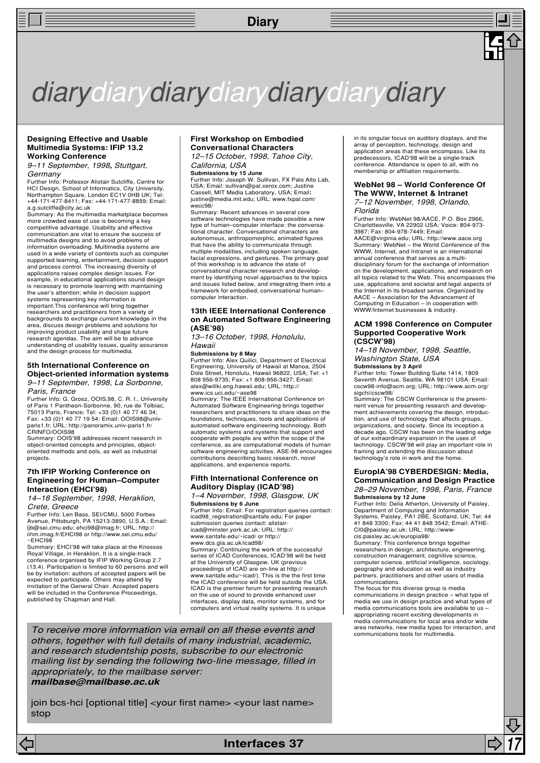### **Diary**



#### **Designing Effective and Usable Multimedia Systems: IFIP 13.2 Working Conference**

9–11 September, 1998**,** Stuttgart, **Germany** 

Further Info: Professor Alistair Sutcliffe, Centre for HCI Design, School of Informatics, City University, Northampton Square, London EC1V 0HB UK; Tel: +44-171-477-8411; Fax: +44-171-477-8859; Email: a.g.sutcliffe@city.ac.uk

Summary: As the multimedia marketplace becomes more crowded ease of use is becoming a key competitive advantage. Usability and effective communication are vital to ensure the success of multimedia designs and to avoid problems of information overloading. Multimedia systems are used in a wide variety of contexts such as computer supported learning, entertainment, decision support and process control. The increasing diversity of applications raises complex design issues. For example, in educational applications sound design is necessary to promote learning with maintaining the user's attention; while in decision support systems representing key information is important.This conference will bring together researchers and practitioners from a variety of backgrounds to exchange current knowledge in the area, discuss design problems and solutions for improving product usability and shape future research agendas. The aim will be to advance understanding of usability issues, quality assurance and the design process for multimedia.

#### **5th International Conference on Object-oriented information systems** 9–11 September, 1998, La Sorbonne,

Paris, France

Further Info: G. Grosz, OOIS,98, C. R. I., University<br>of Paris 1 Pantheon-Sorbonne, 90, rue de Tolbiac,<br>75013 Paris, France; Tel: +33 (0)1 40 77 46 34; Fax: +33 (0)1 40 77 19 54; Email: OOIS98@univ-paris1.fr; URL: http://panoramix.univ-paris1.fr/ CRINFO/OOIS98

Summary: OOIS'98 addresses recent research in object-oriented concepts and principles, objectoriented methods and ools, as well as industrial projects.

#### **7th IFIP Working Conference on Engineering for Human–Computer Interaction (EHCI'98)**

14–18 September, 1998, Heraklion, Crete, Greece

Further Info: Len Bass, SEI/CMU, 5000 Forbes Avenue, Pittsburgh, PA 15213-3890, U.S.A.; Email: ljb@sei.cmu.edu; ehci98@imag.fr; URL: http:// iihm.imag.fr/EHCI98 or http://www.sei.cmu.edu/  $~\sim$ EHCI98

Summary: EHCI'98 will take place at the Knossos Royal Village, in Heraklion. It is a single-track conference organised by IFIP Working Group 2.7 (13.4). Participation is limited to 60 persons and will be by invitation: authors of accepted papers will be expected to participate. Others may attend by invitation of the General Chair. Accepted papers will be included in the Conference Proceedings, published by Chapman and Hall.

#### **First Workshop on Embodied Conversational Characters**

12–15 October, 1998, Tahoe City, California, USA

#### **Submissions by 15 June**

Further Info: Joseph W. Sullivan, FX Palo Alto Lab, USA; Email: sullivan@pal.xerox.com; Justine Cassell, MIT Media Laboratory, USA; Email**:** justine@media.mit.edu; URL: www.fxpal.com/ wecc98/

Summary: Recent advances in several core software technologies have made possible a new type of human–computer interface: the conversa-tional character. Conversational characters are autonomous, anthropomorphic, animated figures that have the ability to communicate through multiple modalities, including spoken language facial expressions, and gestures. The primary goal of this workshop is to advance the state of conversational character research and develop-ment by identifying novel approaches to the topics and issues listed below, and integrating them into a framework for embodied, conversational human– computer interaction.

#### **13th IEEE International Conference on Automated Software Engineering (ASE'98)**

13–16 October, 1998, Honolulu, Hawaii

#### **Submissions by 8 May**

Further Info: Alex Quilici, Department of Electrical Engineering, University of Hawaii at Manoa, 2504 Dole Street, Honolulu, Hawaii 96822, USA; Tel: +1 808 956-9735; Fax: +1 808-956-3427; Email: alex@wiliki.eng.hawaii.edu; URL: http:// www.ics.uci.edu/~ase98

Summary: The IEEE International Conference on Automated Software Engineering brings together researchers and practitioners to share ideas on the foundations, techniques, tools and applications of automated software engineering technology. Both automatic systems and systems that support and cooperate with people are within the scope of the conference, as are computational models of human software engineering activities. ASE-98 encourages contributions describing basic research, novel applications, and experience reports.

#### **Fifth International Conference on Auditory Display (ICAD'98)** 1–4 November, 1998, Glasgow, UK

**Submissions by 6 June** Further Info: Email: For registration queries contact: icad98\_registration@santafe.edu; For paper submission queries contact: alistairicad@minster.york.ac.uk; URL: http:// www.santafe.edu/~icad/ or http:// www.dcs.gla.ac.uk/icad98/ Summary: Continuing the work of the successful series of ICAD Conferences, ICAD'98 will be held at the University of Glasgow, UK (previous proceedings of ICAD are on-line at http:// www.santafe.edu/~icad/). This is the the first time the ICAD conference will be held outside the USA. ICAD is the premier forum for presenting research on the use of sound to provide enhanced user interfaces, display data, monitor systems, and for computers and virtual reality systems. It is unique

To receive more information via email on all these events and others, together with full details of many industrial, academic, and research studentship posts, subscribe to our electronic mailing list by sending the following two-line message, filled in appropriately, to the mailbase server: **mailbase@mailbase.ac.uk**

join bcs-hci [optional title] <your first name> <your last name> stop

in its singular focus on auditory displays, and the array of perception, technology, design and application areas that these encompass. Like its predecessors, ICAD'98 will be a single-track conference. Attendance is open to all, with no membership or affiliation requirements.

#### **WebNet 98 – World Conference Of The WWW, Internet & Intranet**

7–12 November, 1998, Orlando, Florida

Further Info: WebNet 98/AACE, P.O. Box 2966, Charlottesville, VA 22902 USA; Voice: 804-973- 3987; Fax: 804-978-7449; Email:

AACE@virginia.edu; URL: http://www.aace.org Summary: WebNet – the World Conference of the WWW, Internet, and Intranet is an international annual conference that serves as a multidisciplinary forum for the exchange of information on the development, applications, and research on all topics related to the Web. This encompasses the use, applications and societal and legal aspects of the Internet in its broadest sense. Organized by AACE – Association for the Advancement of Computing in Education – in cooperation with WWW/Internet businesses & industry.

#### **ACM 1998 Conference on Computer Supported Cooperative Work (CSCW'98)**

14–18 November, 1998, Seattle, Washington State, USA

**Submissions by 3 April**<br>Further Info: Tower Building Suite 1414, 1809<br>Seventh Avenue, Seattle, WA 98101 USA; Email: cscw98-info@acm.org; URL: http://www.acm.org/ sigchi/cscw98/

Summary: The CSCW Conference is the preeminent venue for presenting research and development achievements covering the design, introduction, and use of technology that affects groups, organizations, and society. Since its inception a decade ago, CSCW has been on the leading edge of our extraordinary expansion in the uses of technology. CSCW'98 will play an important role in framing and extending the discussion about technology's role in work and the home.

#### **EuropIA'98 CYBERDESIGN: Media, Communication and Design Practice**

28–29 November, 1998, Paris, France **Submissions by 12 June** Further Info: Delia Atherton, University of Paisley,

Department of Computing and Information Systems, Paisley, PA1 2BE, Scotland, UK; Tel: 44 41 848 3300; Fax: 44 41 848 3542; Email: ATHE-CI0@paisley.ac.uk; URL: http://wwwcis.paisley.ac.uk/europia98/

Summary: This conference brings together researchers in design, architecture, engineering, construction management, cognitive science, computer science, artificial intelligence, sociology, geography and education as well as industry partners, practitioners and other users of media communications.

The focus for this diverse group is media communications in design practice – what type of media we use in design practice and what types of media communications tools are available to us – appropriating recent exciting developments in media communications for local area and/or wide area networks, new media types for interaction, and communications tools for multimedia.

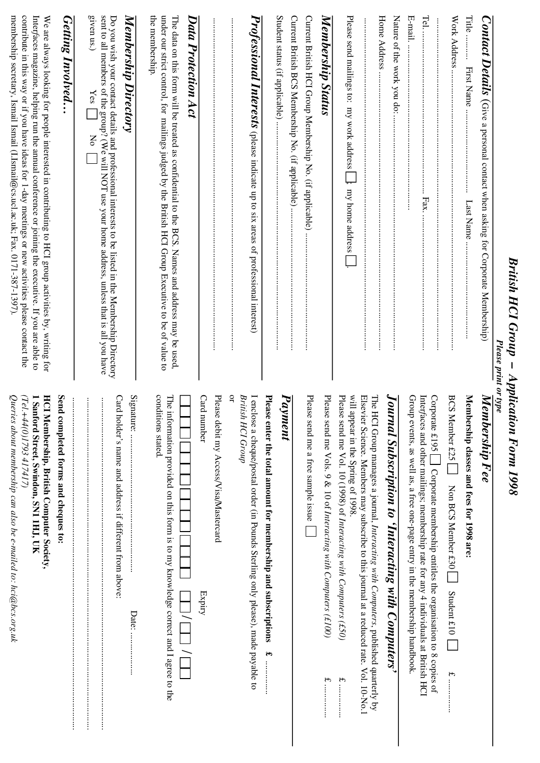| $\sim$ $\mu$ ונו $\mu$ בי $\mu$ בייטונו $\mu$<br>$\mathbf{n}$ : $\mathbf{r}$<br>Į |
|-----------------------------------------------------------------------------------|
|                                                                                   |
| pplication Form 1998                                                              |
|                                                                                   |
|                                                                                   |
|                                                                                   |

| Please print or type                                                                                                                                                                                                                                                                                                                                                                                 |                                                                                                                                                                                                          |
|------------------------------------------------------------------------------------------------------------------------------------------------------------------------------------------------------------------------------------------------------------------------------------------------------------------------------------------------------------------------------------------------------|----------------------------------------------------------------------------------------------------------------------------------------------------------------------------------------------------------|
| $Content \, Details$ (Give a personal contact when asking for Corporate Membership)                                                                                                                                                                                                                                                                                                                  | Membership Fee                                                                                                                                                                                           |
| Title<br>First Name<br>Last Name                                                                                                                                                                                                                                                                                                                                                                     | Membership classes and fees for 1998 are:                                                                                                                                                                |
| Work Address                                                                                                                                                                                                                                                                                                                                                                                         | BCS Member £25<br>Non BCS Member £30<br>Student $£10$<br>$\widetilde{\mathbf{f}}$                                                                                                                        |
| $\text{Tel}$<br>Fax.                                                                                                                                                                                                                                                                                                                                                                                 | Corporate £195<br>Interfaces and other mailings; membership rate for any 4 individuals at British HCI<br>Corporate membership entitles the organisation to 8 copies of                                   |
| E-mail.<br>                                                                                                                                                                                                                                                                                                                                                                                          | Group events, as well as, a free one-page entry in the membership handbook.                                                                                                                              |
| Nature of the work you do:                                                                                                                                                                                                                                                                                                                                                                           | Journal Subscription to 'Interacting with Computers'                                                                                                                                                     |
| Home Address                                                                                                                                                                                                                                                                                                                                                                                         | The H<br>CI Group manages a journal, Interacting with Computers, published quarterly by                                                                                                                  |
| Please send mailings to: my work address<br>j, my home address                                                                                                                                                                                                                                                                                                                                       | Please send me Vol. 10 (1998) of Interacting with Computers (£50)<br>will appear in the Spring of 1998.<br>Elsevier Science. Members may subscribe to this journal at a reduced rate. Vol. 10-No.1<br>ᡟᡃ |
| Membership Status                                                                                                                                                                                                                                                                                                                                                                                    | Please<br>send me Vols. 9 & 10 of Interacting with Computers (£100)                                                                                                                                      |
| Current British HCI Group Membership No. (if applicable)                                                                                                                                                                                                                                                                                                                                             | Please send me a free sample issue                                                                                                                                                                       |
| Current British BCS Membership No. (if applicable)                                                                                                                                                                                                                                                                                                                                                   | Pay<br>ment                                                                                                                                                                                              |
|                                                                                                                                                                                                                                                                                                                                                                                                      | Please enter the total amount for membership and subscriptions<br>ĉ۳                                                                                                                                     |
| <b>Professional Interests</b> (please indicate up to six areas of professional interest)                                                                                                                                                                                                                                                                                                             | q<br>British HCI Group<br>I enclose a cheque/postal order (in Pounds Sterling only please), made payable to                                                                                              |
|                                                                                                                                                                                                                                                                                                                                                                                                      | Card number<br>Please debit my Access/Visa/Mastercard<br>Expiry                                                                                                                                          |
| $Data$ Protection $Act$                                                                                                                                                                                                                                                                                                                                                                              |                                                                                                                                                                                                          |
| the membership.<br>under our strict control, for mailings judged by the British HCI Group Executive to be of value to<br>The data on this form will be used and address and address and address may be used.                                                                                                                                                                                         | conditions stated.<br>The information provided on this form is to my knowledge correct and I agree to the                                                                                                |
| Membership Directory                                                                                                                                                                                                                                                                                                                                                                                 | Signature:<br>Date:                                                                                                                                                                                      |
| sent to all members of the group? (We will NOT use your home address, unless that is all you have<br>given us.)<br>Do you wish your contact details and professional interests to be listed in the Membership Directory<br>Yes<br><b>No</b>                                                                                                                                                          | Card holder's name and address if different from above:<br>$\vdots$<br>İ                                                                                                                                 |
| <b>Getting Involved</b>                                                                                                                                                                                                                                                                                                                                                                              | Send<br>completed forms and cheques to:                                                                                                                                                                  |
| contribute in this way or if you have ideas for 1-day meetings or new activities please contact the<br>membership secretary, Ismail Ismail (LIsmail@cs.ucl.ac.uk; Fax. 0171-387-1397).<br>Interfaces magazine, helping run the annual conference or joining the executive. If you are able to<br>We are always looking for people interested in contributing to HCI group activities by, writing for | Queries about membership can also be e-mailed to: hci@bcs.org.uk<br><b>HCI Membership, British Computer Society,</b><br>(Tel.+44(0)1793 417417)<br>1 Sand<br>ford Street, Swindon, SN1 1HJ, UK           |
|                                                                                                                                                                                                                                                                                                                                                                                                      |                                                                                                                                                                                                          |

**18 Interfaces 37**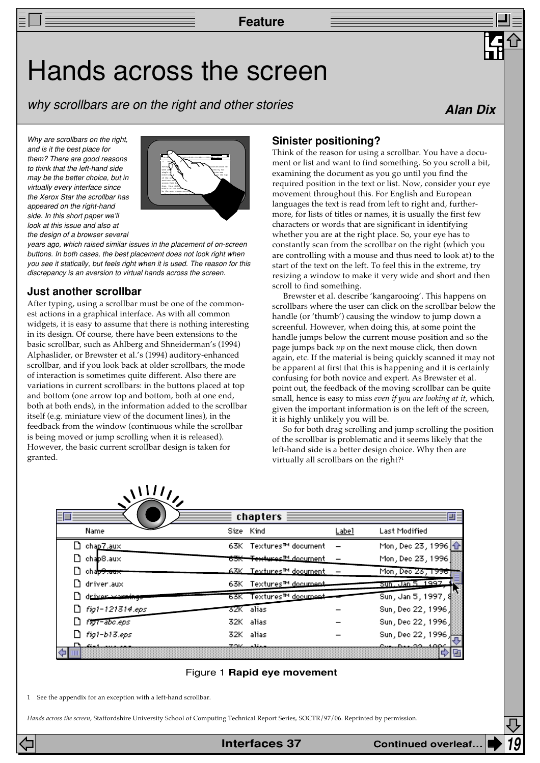**Feature**

## Hands across the screen

why scrollbars are on the right and other stories

**Alan Dix**

Why are scrollbars on the right. and is it the best place for them? There are good reasons to think that the left-hand side may be the better choice, but in virtually every interface since the Xerox Star the scrollbar has appeared on the right-hand side. In this short paper we'll look at this issue and also at the design of a browser several



years ago, which raised similar issues in the placement of on-screen buttons. In both cases, the best placement does not look right when you see it statically, but feels right when it is used. The reason for this discrepancy is an aversion to virtual hands across the screen.

## **Just another scrollbar**

After typing, using a scrollbar must be one of the commonest actions in a graphical interface. As with all common widgets, it is easy to assume that there is nothing interesting in its design. Of course, there have been extensions to the basic scrollbar, such as Ahlberg and Shneiderman's (1994) Alphaslider, or Brewster et al.'s (1994) auditory-enhanced scrollbar, and if you look back at older scrollbars, the mode of interaction is sometimes quite different. Also there are variations in current scrollbars: in the buttons placed at top and bottom (one arrow top and bottom, both at one end, both at both ends), in the information added to the scrollbar itself (e.g. miniature view of the document lines), in the feedback from the window (continuous while the scrollbar is being moved or jump scrolling when it is released). However, the basic current scrollbar design is taken for granted.

## **Sinister positioning?**

Think of the reason for using a scrollbar. You have a document or list and want to find something. So you scroll a bit, examining the document as you go until you find the required position in the text or list. Now, consider your eye movement throughout this. For English and European languages the text is read from left to right and, furthermore, for lists of titles or names, it is usually the first few characters or words that are significant in identifying whether you are at the right place. So, your eye has to constantly scan from the scrollbar on the right (which you are controlling with a mouse and thus need to look at) to the start of the text on the left. To feel this in the extreme, try resizing a window to make it very wide and short and then scroll to find something.

Brewster et al. describe 'kangarooing'. This happens on scrollbars where the user can click on the scrollbar below the handle (or 'thumb') causing the window to jump down a screenful. However, when doing this, at some point the handle jumps below the current mouse position and so the page jumps back *up* on the next mouse click, then down again, etc. If the material is being quickly scanned it may not be apparent at first that this is happening and it is certainly confusing for both novice and expert. As Brewster et al. point out, the feedback of the moving scrollbar can be quite small, hence is easy to miss *even if you are looking at it*, which, given the important information is on the left of the screen, it is highly unlikely you will be.

So for both drag scrolling and jump scrolling the position of the scrollbar is problematic and it seems likely that the left-hand side is a better design choice. Why then are virtually all scrollbars on the right?<sup>1</sup>

| 目厂 |                        |       | chapters                             |       |                                        | ■■ |
|----|------------------------|-------|--------------------------------------|-------|----------------------------------------|----|
|    | Name                   |       | Size Kind                            | Label | Last Modified                          |    |
|    | $\Box$ chap7.aux       |       | 63K Textures™ document               |       | Mon, Dec 23, 1996 $ \hat{\textbf{T}} $ |    |
|    | chap8.aux              |       | <del>63K - Textures™ d</del> ocument |       | Mon, Dec 23, 1996                      |    |
|    | cha <del>p9.aux</del>  |       | <u> 63K – Textures™ document</u>     |       | Mon, Dec 23, 1996                      |    |
|    | $\Box$ driver.aux      | 63K - | - Textures™ document                 |       | Sun, Jan 5, 1997                       |    |
|    | driver wernings        |       | 63K Textures™ document               |       | Sun, Jan 5, 1997, 8                    |    |
|    | $\Box$ fig1-121314.eps |       | 32K alias                            |       | Sun, Dec 22, 1996,                     |    |
|    | fig1-abc.eps           |       | 32K alias                            |       | Sun, Dec 22, 1996,                     |    |
|    | $\Box$ fig1-b13.eps    |       | 32K alias                            |       | Sun, Dec 22, 1996,                     |    |
| ⇔Ι | <u>Daniel anno 1</u>   |       | 70K - 16.                            |       | <u>oue Dec 22 1004</u>                 |    |

#### Figure 1 **Rapid eye movement**

1 See the appendix for an exception with a left-hand scrollbar.

*Hands across the screen*, Staffordshire University School of Computing Technical Report Series, SOCTR/97/06. Reprinted by permission.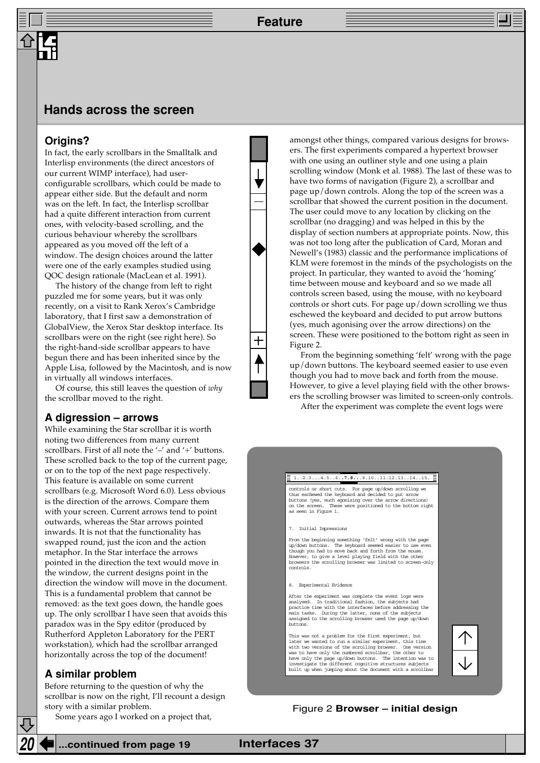## **Hands across the screen**

### **Origins?**

In fact, the early scrollbars in the Smalltalk and Interlisp environments (the direct ancestors of our current WIMP interface), had userconfigurable scrollbars, which could be made to appear either side. But the default and norm was on the left. In fact, the Interlisp scrollbar had a quite different interaction from current ones, with velocity-based scrolling, and the curious behaviour whereby the scrollbars appeared as you moved off the left of a window. The design choices around the latter were one of the early examples studied using QOC design rationale (MacLean et al. 1991).

The history of the change from left to right puzzled me for some years, but it was only recently, on a visit to Rank Xerox's Cambridge laboratory, that I first saw a demonstration of GlobalView, the Xerox Star desktop interface. Its scrollbars were on the right (see right here). So the right-hand-side scrollbar appears to have begun there and has been inherited since by the Apple Lisa, followed by the Macintosh, and is now in virtually all windows interfaces.

Of course, this still leaves the question of *why* the scrollbar moved to the right.

#### **A digression – arrows**

While examining the Star scrollbar it is worth noting two differences from many current scrollbars. First of all note the '-' and '+' buttons. These scrolled back to the top of the current page, or on to the top of the next page respectively. This feature is available on some current scrollbars (e.g. Microsoft Word 6.0). Less obvious is the direction of the arrows. Compare them with your screen. Current arrows tend to point outwards, whereas the Star arrows pointed inwards. It is not that the functionality has swapped round, just the icon and the action metaphor. In the Star interface the arrows pointed in the direction the text would move in the window, the current designs point in the direction the window will move in the document. This is a fundamental problem that cannot be removed: as the text goes down, the handle goes up. The only scrollbar I have seen that avoids this paradox was in the Spy editor (produced by Rutherford Appleton Laboratory for the PERT workstation), which had the scrollbar arranged horizontally across the top of the document!

### **A similar problem**

Before returning to the question of why the scrollbar is now on the right, I'll recount a design story with a similar problem.

Some years ago I worked on a project that,

amongst other things, compared various designs for browsers. The first experiments compared a hypertext browser with one using an outliner style and one using a plain scrolling window (Monk et al. 1988). The last of these was to have two forms of navigation (Figure 2), a scrollbar and page up/down controls. Along the top of the screen was a scrollbar that showed the current position in the document. The user could move to any location by clicking on the scrollbar (no dragging) and was helped in this by the display of section numbers at appropriate points. Now, this was not too long after the publication of Card, Moran and Newell's (1983) classic and the performance implications of KLM were foremost in the minds of the psychologists on the project. In particular, they wanted to avoid the 'homing' time between mouse and keyboard and so we made all controls screen based, using the mouse, with no keyboard controls or short cuts. For page up/down scrolling we thus eschewed the keyboard and decided to put arrow buttons (yes, much agonising over the arrow directions) on the screen. These were positioned to the bottom right as seen in Figure 2.

From the beginning something 'felt' wrong with the page up/down buttons. The keyboard seemed easier to use even though you had to move back and forth from the mouse. However, to give a level playing field with the other browsers the scrolling browser was limited to screen-only controls. After the experiment was complete the event logs were

#### 1..2.3...4.5..6.**.7.8..**.9.10..11.12.13..14..15.

controls or short cuts. For page up/down scrolling we thus eschewed the keyboard and decided to put arrow buttons (yes, much agonising over the arrow directions) on the screen. These were positioned to the bottom right as seen in Figure 1.

7. Initial Impressions

From the beginning something 'felt' wrong with the page up/down buttons. The keyboard seemed easier to use even though you had to move back and forth from the mouse. However, to give a level playing field with the other browsers the scrolling browser was limited to screen-only controls.

8. Experimental Evidence

After the experiment was complete the event logs were analysed. In traditional fashion, the subjects had practice time with the interfaces before addressing the main tasks. During the latter, none of the subjects assigned to the scrolling browser used the page up/down buttons.

This was not a problem for the first experiment, but later we wanted to run a similar experiment, this time with two versions of the scrolling browser. One version was to have only the numbered scrollbar, the other to<br>have only the page up/down buttons. The intention was to<br>investigate the different cognitive structures subjects<br>built up when jumping about the document with a scrollb

#### Figure 2 **Browser – initial design**

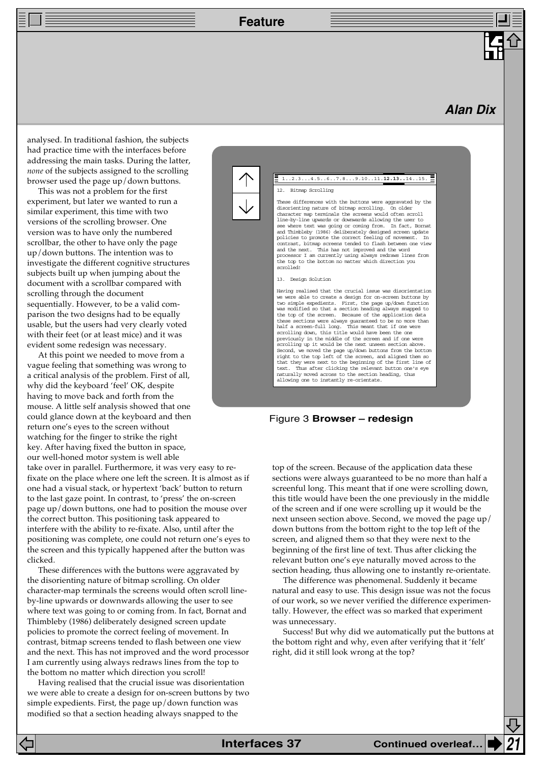**Feature**

## **Alan Dix**

analysed. In traditional fashion, the subjects had practice time with the interfaces before addressing the main tasks. During the latter, *none* of the subjects assigned to the scrolling browser used the page up/down buttons.

This was not a problem for the first experiment, but later we wanted to run a similar experiment, this time with two versions of the scrolling browser. One version was to have only the numbered scrollbar, the other to have only the page up/down buttons. The intention was to investigate the different cognitive structures subjects built up when jumping about the document with a scrollbar compared with scrolling through the document sequentially. However, to be a valid comparison the two designs had to be equally usable, but the users had very clearly voted with their feet (or at least mice) and it was evident some redesign was necessary.

At this point we needed to move from a vague feeling that something was wrong to a critical analysis of the problem. First of all, why did the keyboard 'feel' OK, despite having to move back and forth from the mouse. A little self analysis showed that one could glance down at the keyboard and then return one's eyes to the screen without watching for the finger to strike the right key. After having fixed the button in space, our well-honed motor system is well able

take over in parallel. Furthermore, it was very easy to refixate on the place where one left the screen. It is almost as if one had a visual stack, or hypertext 'back' button to return to the last gaze point. In contrast, to 'press' the on-screen page up/down buttons, one had to position the mouse over the correct button. This positioning task appeared to interfere with the ability to re-fixate. Also, until after the positioning was complete, one could not return one's eyes to the screen and this typically happened after the button was clicked.

These differences with the buttons were aggravated by the disorienting nature of bitmap scrolling. On older character-map terminals the screens would often scroll lineby-line upwards or downwards allowing the user to see where text was going to or coming from. In fact, Bornat and Thimbleby (1986) deliberately designed screen update policies to promote the correct feeling of movement. In contrast, bitmap screens tended to flash between one view and the next. This has not improved and the word processor I am currently using always redraws lines from the top to the bottom no matter which direction you scroll!

Having realised that the crucial issue was disorientation we were able to create a design for on-screen buttons by two simple expedients. First, the page  $up/$  down function was modified so that a section heading always snapped to the



Figure 3 **Browser – redesign**

top of the screen. Because of the application data these sections were always guaranteed to be no more than half a screenful long. This meant that if one were scrolling down, this title would have been the one previously in the middle of the screen and if one were scrolling up it would be the next unseen section above. Second, we moved the page up/ down buttons from the bottom right to the top left of the screen, and aligned them so that they were next to the beginning of the first line of text. Thus after clicking the relevant button one's eye naturally moved across to the section heading, thus allowing one to instantly re-orientate.

The difference was phenomenal. Suddenly it became natural and easy to use. This design issue was not the focus of our work, so we never verified the difference experimentally. However, the effect was so marked that experiment was unnecessary.

Success! But why did we automatically put the buttons at the bottom right and why, even after verifying that it 'felt' right, did it still look wrong at the top?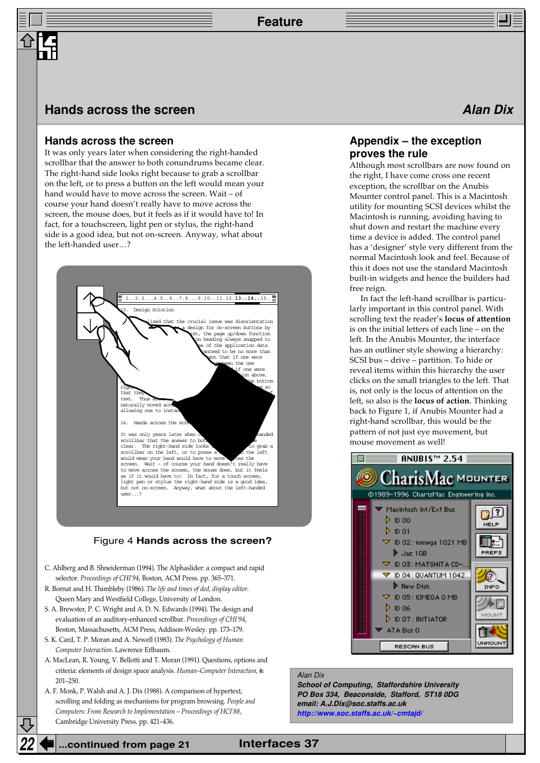## **Hands across the screen Alan Dix Alan Dix**

### **Hands across the screen**

It was only years later when considering the right-handed scrollbar that the answer to both conundrums became clear. The right-hand side looks right because to grab a scrollbar on the left, or to press a button on the left would mean your hand would have to move across the screen. Wait – of course your hand doesn't really have to move across the screen, the mouse does, but it feels as if it would have to! In fact, for a touchscreen, light pen or stylus, the right-hand side is a good idea, but not on-screen. Anyway, what about the left-handed user…?



#### Figure 4 **Hands across the screen?**

- C. Ahlberg and B. Shneiderman (1994). The Alphaslider: a compact and rapid selector. *Proceedings of CHI'94*, Boston, ACM Press. pp. 365–371.
- R. Bornat and H. Thimbleby (1986). *The life and times of ded, display editor*. Queen Mary and Westfield College, University of London.
- S. A. Brewster, P. C. Wright and A. D. N. Edwards (1994). The design and evaluation of an auditory-enhanced scrollbar. *Proceedings of CHI'94*, Boston, Massachusetts, ACM Press, Addison-Wesley. pp. 173–179.
- S. K. Card, T. P. Moran and A. Newell (1983). *The Psychology of Human Computer Interaction*. Lawrence Erlbaum.
- A. MacLean, R. Young, V. Bellotti and T. Moran (1991). Questions, options and criteria: elements of design space analysis. *Human–Computer Interaction*, **6**: 201–250.
- A. F. Monk, P. Walsh and A. J. Dix (1988). A comparison of hypertext, scrolling and folding as mechanisms for program browsing. *People and Computers: From Research to Implementation – Proceedings of HCI'88*, Cambridge University Press. pp. 421–436.

## **Appendix – the exception proves the rule**

Although most scrollbars are now found on the right, I have come cross one recent exception, the scrollbar on the Anubis Mounter control panel. This is a Macintosh utility for mounting SCSI devices whilst the Macintosh is running, avoiding having to shut down and restart the machine every time a device is added. The control panel has a 'designer' style very different from the normal Macintosh look and feel. Because of this it does not use the standard Macintosh built-in widgets and hence the builders had free reign.

In fact the left-hand scrollbar is particularly important in this control panel. With scrolling text the reader's **locus of attention** is on the initial letters of each line – on the left. In the Anubis Mounter, the interface has an outliner style showing a hierarchy: SCSI bus – drive – partition. To hide or reveal items within this hierarchy the user clicks on the small triangles to the left. That is, not only is the locus of attention on the left, so also is the **locus of action**. Thinking back to Figure 1, if Anubis Mounter had a right-hand scrollbar, this would be the pattern of not just eye movement, but mouse movement as well!



#### Alan Dix

**School of Computing, Staffordshire University PO Box 334, Beaconside, Stafford, ST18 0DG email: A.J.Dix@soc.staffs.ac.uk [http://www.soc.staffs.ac.uk/~cmtajd/](http://www.hcibook.com/alan/)**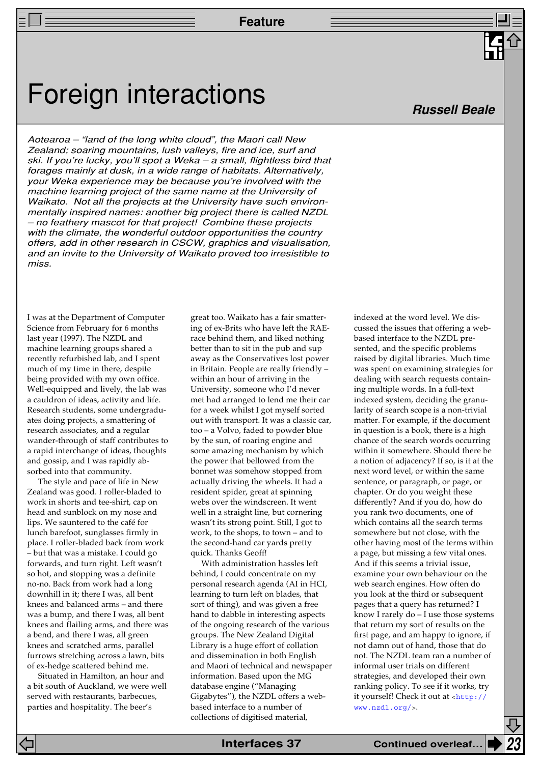**Feature**

## Foreign interactions

Aotearoa – "land of the long white cloud", the Maori call New Zealand; soaring mountains, lush valleys, fire and ice, surf and ski. If you're lucky, you'll spot a Weka – a small, flightless bird that forages mainly at dusk, in a wide range of habitats. Alternatively, your Weka experience may be because you're involved with the machine learning project of the same name at the University of Waikato. Not all the projects at the University have such environmentally inspired names: another big project there is called NZDL – no feathery mascot for that project! Combine these projects with the climate, the wonderful outdoor opportunities the country offers, add in other research in CSCW, graphics and visualisation, and an invite to the University of Waikato proved too irresistible to miss.

I was at the Department of Computer Science from February for 6 months last year (1997). The NZDL and machine learning groups shared a recently refurbished lab, and I spent much of my time in there, despite being provided with my own office. Well-equipped and lively, the lab was a cauldron of ideas, activity and life. Research students, some undergraduates doing projects, a smattering of research associates, and a regular wander-through of staff contributes to a rapid interchange of ideas, thoughts and gossip, and I was rapidly absorbed into that community.

The style and pace of life in New Zealand was good. I roller-bladed to work in shorts and tee-shirt, cap on head and sunblock on my nose and lips. We sauntered to the café for lunch barefoot, sunglasses firmly in place. I roller-bladed back from work – but that was a mistake. I could go forwards, and turn right. Left wasn't so hot, and stopping was a definite no-no. Back from work had a long downhill in it; there I was, all bent knees and balanced arms – and there was a bump, and there I was, all bent knees and flailing arms, and there was a bend, and there I was, all green knees and scratched arms, parallel furrows stretching across a lawn, bits of ex-hedge scattered behind me.

Situated in Hamilton, an hour and a bit south of Auckland, we were well served with restaurants, barbecues, parties and hospitality. The beer's

great too. Waikato has a fair smattering of ex-Brits who have left the RAErace behind them, and liked nothing better than to sit in the pub and sup away as the Conservatives lost power in Britain. People are really friendly – within an hour of arriving in the University, someone who I'd never met had arranged to lend me their car for a week whilst I got myself sorted out with transport. It was a classic car, too – a Volvo, faded to powder blue by the sun, of roaring engine and some amazing mechanism by which the power that bellowed from the bonnet was somehow stopped from actually driving the wheels. It had a resident spider, great at spinning webs over the windscreen. It went well in a straight line, but cornering wasn't its strong point. Still, I got to work, to the shops, to town – and to the second-hand car yards pretty quick. Thanks Geoff!

With administration hassles left behind, I could concentrate on my personal research agenda (AI in HCI, learning to turn left on blades, that sort of thing), and was given a free hand to dabble in interesting aspects of the ongoing research of the various groups. The New Zealand Digital Library is a huge effort of collation and dissemination in both English and Maori of technical and newspaper information. Based upon the MG database engine ("Managing Gigabytes"), the NZDL offers a webbased interface to a number of collections of digitised material,

indexed at the word level. We discussed the issues that offering a webbased interface to the NZDL presented, and the specific problems raised by digital libraries. Much time was spent on examining strategies for dealing with search requests containing multiple words. In a full-text indexed system, deciding the granularity of search scope is a non-trivial matter. For example, if the document in question is a book, there is a high chance of the search words occurring within it somewhere. Should there be a notion of adjacency? If so, is it at the next word level, or within the same sentence, or paragraph, or page, or chapter. Or do you weight these differently? And if you do, how do you rank two documents, one of which contains all the search terms somewhere but not close, with the other having most of the terms within a page, but missing a few vital ones. And if this seems a trivial issue, examine your own behaviour on the web search engines. How often do you look at the third or subsequent pages that a query has returned? I know I rarely do – I use those systems that return my sort of results on the first page, and am happy to ignore, if not damn out of hand, those that do not. The NZDL team ran a number of informal user trials on different strategies, and developed their own ranking policy. To see if it works, try [it yourself! Check it out at](http://www.nzdl.org/) <http:// www.nzdl.org/>.

## **Russell Beale**

**Interfaces 37 Continued overleaf… 23**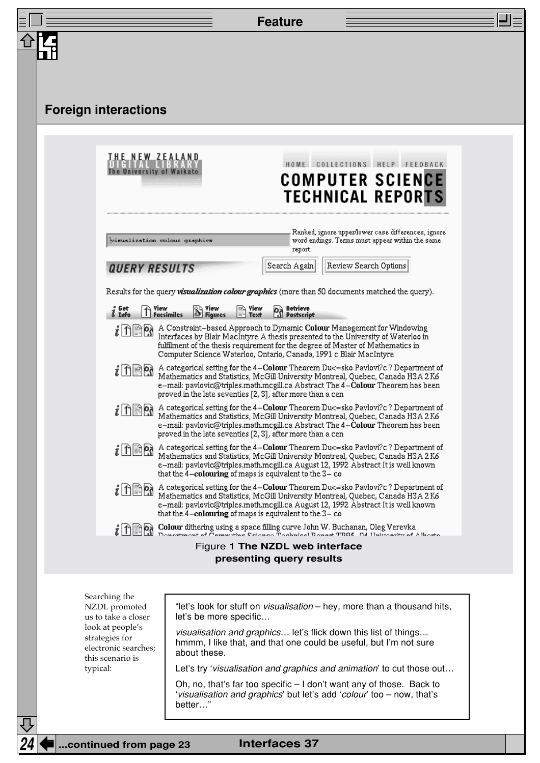|                                                                                                                                                                    |                                                                                                                                                                                                                                                                                                                                                                                                                            |                                                     |                                                                                                                                                                                                                                                           | <b>Feature</b>       |                       |                                                                                                        |  |
|--------------------------------------------------------------------------------------------------------------------------------------------------------------------|----------------------------------------------------------------------------------------------------------------------------------------------------------------------------------------------------------------------------------------------------------------------------------------------------------------------------------------------------------------------------------------------------------------------------|-----------------------------------------------------|-----------------------------------------------------------------------------------------------------------------------------------------------------------------------------------------------------------------------------------------------------------|----------------------|-----------------------|--------------------------------------------------------------------------------------------------------|--|
|                                                                                                                                                                    |                                                                                                                                                                                                                                                                                                                                                                                                                            |                                                     |                                                                                                                                                                                                                                                           |                      |                       |                                                                                                        |  |
|                                                                                                                                                                    |                                                                                                                                                                                                                                                                                                                                                                                                                            |                                                     |                                                                                                                                                                                                                                                           |                      |                       |                                                                                                        |  |
|                                                                                                                                                                    |                                                                                                                                                                                                                                                                                                                                                                                                                            |                                                     |                                                                                                                                                                                                                                                           |                      |                       |                                                                                                        |  |
|                                                                                                                                                                    |                                                                                                                                                                                                                                                                                                                                                                                                                            | <b>Foreign interactions</b>                         |                                                                                                                                                                                                                                                           |                      |                       |                                                                                                        |  |
|                                                                                                                                                                    |                                                                                                                                                                                                                                                                                                                                                                                                                            |                                                     |                                                                                                                                                                                                                                                           |                      |                       |                                                                                                        |  |
|                                                                                                                                                                    |                                                                                                                                                                                                                                                                                                                                                                                                                            | <u>THE NEW ZEALAND</u><br>The University of Waikato |                                                                                                                                                                                                                                                           |                      |                       | HOME COLLECTIONS HELP FEEDBACK                                                                         |  |
|                                                                                                                                                                    |                                                                                                                                                                                                                                                                                                                                                                                                                            |                                                     |                                                                                                                                                                                                                                                           |                      |                       | COMPUTER SCIENCE<br><b>TECHNICAL REPORTS</b>                                                           |  |
|                                                                                                                                                                    |                                                                                                                                                                                                                                                                                                                                                                                                                            |                                                     |                                                                                                                                                                                                                                                           |                      |                       |                                                                                                        |  |
|                                                                                                                                                                    |                                                                                                                                                                                                                                                                                                                                                                                                                            | Misualization colour graphics                       |                                                                                                                                                                                                                                                           | report.              |                       | Ranked, ignore upper/lower case differences, ignore<br>word endings. Terms must appear within the same |  |
|                                                                                                                                                                    |                                                                                                                                                                                                                                                                                                                                                                                                                            | <b>QUERY RESULTS</b>                                |                                                                                                                                                                                                                                                           | Search Again         | Review Search Options |                                                                                                        |  |
|                                                                                                                                                                    |                                                                                                                                                                                                                                                                                                                                                                                                                            |                                                     | Results for the query <i>visualization colour graphics</i> (more than 50 documents matched the query).                                                                                                                                                    |                      |                       |                                                                                                        |  |
|                                                                                                                                                                    | <b>O<sub>S</sub></b> Retrieve<br>S Postscript<br>Get<br>$\bigcap$ Yiew<br>Facsimiles<br>$\mathbb{S}$ Figures<br>$\mathbb{B}$ Yiew<br>& Info                                                                                                                                                                                                                                                                                |                                                     |                                                                                                                                                                                                                                                           |                      |                       |                                                                                                        |  |
|                                                                                                                                                                    | A Constraint-based Approach to Dynamic Colour Management for Windowing<br>$i$ ានៃន<br>Interfaces by Blair MacIntyre A thesis presented to the University of Waterloo in<br>fulfilment of the thesis requirement for the degree of Master of Mathematics in<br>Computer Science Waterloo, Ontario, Canada, 1991 c Blair MacIntyre                                                                                           |                                                     |                                                                                                                                                                                                                                                           |                      |                       |                                                                                                        |  |
|                                                                                                                                                                    | A categorical setting for the 4-Colour Theorem Du<= sko Pavlovi?c? Department of<br>$i$ 1 ଲି %<br>Mathematics and Statistics, McGill University Montreal, Quebec, Canada H3A 2K6<br>e–mail: pavlovic@triples.math.mcgill.ca Abstract The 4–Colour Theorem has been<br>proved in the late seventies [2, 3], after more than a cen                                                                                           |                                                     |                                                                                                                                                                                                                                                           |                      |                       |                                                                                                        |  |
|                                                                                                                                                                    | A categorical setting for the 4-Colour Theorem Du<= sko Pavlovi?c ? Department of<br>Mathematics and Statistics, McGill University Montreal, Quebec, Canada H3A 2K6<br>e-mail: pavlovic@triples.math.mcgill.ca Abstract The 4-Colour Theorem has been<br>proved in the late seventies [2, 3], after more than a cen                                                                                                        |                                                     |                                                                                                                                                                                                                                                           |                      |                       |                                                                                                        |  |
|                                                                                                                                                                    |                                                                                                                                                                                                                                                                                                                                                                                                                            | <u>វេនានា រ</u>                                     | A categorical setting for the 4-Colour Theorem Du<= sko Pavlovi?c? Department of<br>Mathematics and Statistics, McGill University Montreal, Quebec, Canada H3A 2K6<br>e-mail: pavlovic@triples.math.mcgill.ca August 12, 1992. Abstract It is well known. |                      |                       |                                                                                                        |  |
|                                                                                                                                                                    | that the $4$ -colouring of maps is equivalent to the $3-$ co<br>$\int_{0}^{1} \prod_{i=1}^{n} P_i$ A categorical setting for the 4-Colour Theorem Du<=sko Pavlovi?c ? Department of<br>Mathematics and Statistics, McGill University Montreal, Quebec, Canada H3A 2K6<br>e-mail: pavlovic@triples.math.mcgill.ca August 12, 1992 Abstract It is well known<br>that the $4$ -colouring of maps is equivalent to the $3-$ co |                                                     |                                                                                                                                                                                                                                                           |                      |                       |                                                                                                        |  |
|                                                                                                                                                                    |                                                                                                                                                                                                                                                                                                                                                                                                                            | i 11 R                                              | <b>Colour dithering using a space filling curve John W. Buchanan, Oleg Verevka</b><br>Denotive at Commuting Science Technical Bonart TBOS OA Haircrative of Alberta                                                                                       |                      |                       |                                                                                                        |  |
| Figure 1 The NZDL web interface<br>presenting query results                                                                                                        |                                                                                                                                                                                                                                                                                                                                                                                                                            |                                                     |                                                                                                                                                                                                                                                           |                      |                       |                                                                                                        |  |
|                                                                                                                                                                    |                                                                                                                                                                                                                                                                                                                                                                                                                            |                                                     |                                                                                                                                                                                                                                                           |                      |                       |                                                                                                        |  |
| Searching the<br>"let's look for stuff on <i>visualisation</i> – hey, more than a thousand hits,<br>NZDL promoted<br>let's be more specific<br>us to take a closer |                                                                                                                                                                                                                                                                                                                                                                                                                            |                                                     |                                                                                                                                                                                                                                                           |                      |                       |                                                                                                        |  |
|                                                                                                                                                                    | look at people's<br>visualisation and graphics let's flick down this list of things<br>strategies for<br>hmmm, I like that, and that one could be useful, but I'm not sure<br>electronic searches;<br>about these.<br>this scenario is                                                                                                                                                                                     |                                                     |                                                                                                                                                                                                                                                           |                      |                       |                                                                                                        |  |
|                                                                                                                                                                    |                                                                                                                                                                                                                                                                                                                                                                                                                            | typical:                                            |                                                                                                                                                                                                                                                           |                      |                       | Let's try 'visualisation and graphics and animation' to cut those out                                  |  |
|                                                                                                                                                                    |                                                                                                                                                                                                                                                                                                                                                                                                                            |                                                     | Oh, no, that's far too specific $-1$ don't want any of those. Back to<br>'visualisation and graphics' but let's add 'colour' too - now, that's<br>better"                                                                                                 |                      |                       |                                                                                                        |  |
|                                                                                                                                                                    |                                                                                                                                                                                                                                                                                                                                                                                                                            |                                                     |                                                                                                                                                                                                                                                           |                      |                       |                                                                                                        |  |
| 24                                                                                                                                                                 |                                                                                                                                                                                                                                                                                                                                                                                                                            | continued from page 23                              |                                                                                                                                                                                                                                                           | <b>Interfaces 37</b> |                       |                                                                                                        |  |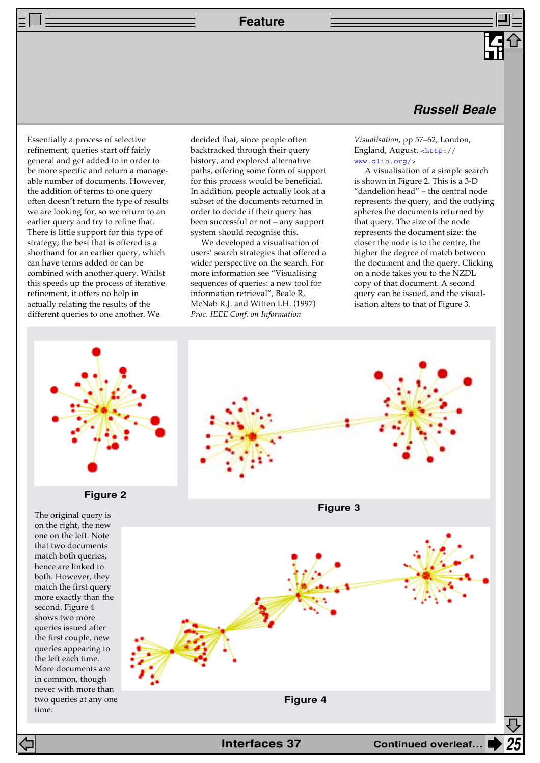**Feature**

Essentially a process of selective refinement, queries start off fairly general and get added to in order to be more specific and return a manageable number of documents. However, the addition of terms to one query often doesn't return the type of results we are looking for, so we return to an earlier query and try to refine that. There is little support for this type of strategy; the best that is offered is a shorthand for an earlier query, which can have terms added or can be combined with another query. Whilst this speeds up the process of iterative refinement, it offers no help in actually relating the results of the different queries to one another. We

decided that, since people often backtracked through their query history, and explored alternative paths, offering some form of support for this process would be beneficial. In addition, people actually look at a subset of the documents returned in order to decide if their query has been successful or not – any support system should recognise this.

We developed a visualisation of users' search strategies that offered a wider perspective on the search. For more information see "Visualising sequences of queries: a new tool for information retrieval", Beale R, McNab R.J. and Witten I.H. (1997) *Proc. IEEE Conf. on Information*

## **Russell Beale**

*Visualisation*, pp 57–62, London, [England, August.](http://www.dlib.org/) <http:// www.dlib.org/>

A visualisation of a simple search is shown in Figure 2. This is a 3-D "dandelion head" – the central node represents the query, and the outlying spheres the documents returned by that query. The size of the node represents the document size: the closer the node is to the centre, the higher the degree of match between the document and the query. Clicking on a node takes you to the NZDL copy of that document. A second query can be issued, and the visualisation alters to that of Figure 3.





on the right, the new one on the left. Note that two documents match both queries, hence are linked to both. However, they match the first query more exactly than the second. Figure 4 shows two more queries issued after the first couple, new queries appearing to the left each time. More documents are in common, though never with more than two queries at any one time.

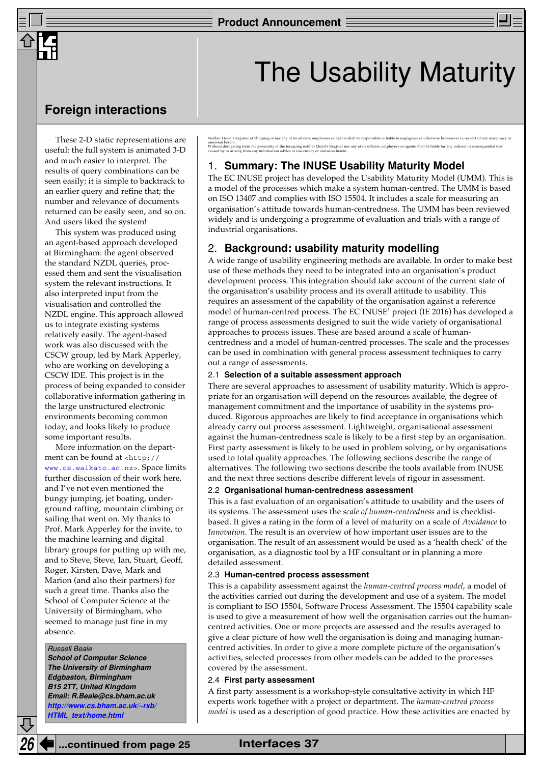## The Usability Maturity

## **Foreign interactions**

These 2-D static representations are useful: the full system is animated 3-D and much easier to interpret. The results of query combinations can be seen easily; it is simple to backtrack to an earlier query and refine that; the number and relevance of documents returned can be easily seen, and so on. And users liked the system!

This system was produced using an agent-based approach developed at Birmingham: the agent observed the standard NZDL queries, processed them and sent the visualisation system the relevant instructions. It also interpreted input from the visualisation and controlled the NZDL engine. This approach allowed us to integrate existing systems relatively easily. The agent-based work was also discussed with the CSCW group, led by Mark Apperley, who are working on developing a CSCW IDE. This project is in the process of being expanded to consider collaborative information gathering in the large unstructured electronic environments becoming common today, and looks likely to produce some important results.

More information on the department can be found at <http:// [www.cs.waikato.ac.nz>](http://www.cs.waikato.ac.nz). Space limits further discussion of their work here, and I've not even mentioned the bungy jumping, jet boating, underground rafting, mountain climbing or sailing that went on. My thanks to Prof. Mark Apperley for the invite, to the machine learning and digital library groups for putting up with me, and to Steve, Steve, Ian, Stuart, Geoff, Roger, Kirsten, Dave, Mark and Marion (and also their partners) for such a great time. Thanks also the School of Computer Science at the University of Birmingham, who seemed to manage just fine in my absence.

#### Russell Beale

**School of Computer Science The University of Birmingham Edgbaston, Birmingham B15 2TT, United Kingdom Email: R.Beale@cs.bham.ac.uk [http://www.cs.bham.ac.uk/~rxb/](http://www.cs.bham.ac.uk/~rxb/HTML_text/home.html) HTML\_text/home.html**

Neither Lloyd's Register of Shipping of nor any of its officers, employees or agents shall be responsible or liable in negligence of otherwise howsoever in respect of any inaccuracy or omission herein.<br>Without derogating from the generality of the foregoing neither Lloyd's Register nor any of its officers, employees or agents shall be liable for any indirect or consequential loss<br>caused by or arising fro

### 1. **Summary: The INUSE Usability Maturity Model**

The EC INUSE project has developed the Usability Maturity Model (UMM). This is a model of the processes which make a system human-centred. The UMM is based on ISO 13407 and complies with ISO 15504. It includes a scale for measuring an organisation's attitude towards human-centredness. The UMM has been reviewed widely and is undergoing a programme of evaluation and trials with a range of industrial organisations.

### 2. **Background: usability maturity modelling**

A wide range of usability engineering methods are available. In order to make best use of these methods they need to be integrated into an organisation's product development process. This integration should take account of the current state of the organisation's usability process and its overall attitude to usability. This requires an assessment of the capability of the organisation against a reference model of human-centred process. The EC INUSE<sup>1</sup> project (IE 2016) has developed a range of process assessments designed to suit the wide variety of organisational approaches to process issues. These are based around a scale of humancentredness and a model of human-centred processes. The scale and the processes can be used in combination with general process assessment techniques to carry out a range of assessments.

#### 2.1 **Selection of a suitable assessment approach**

There are several approaches to assessment of usability maturity. Which is appropriate for an organisation will depend on the resources available, the degree of management commitment and the importance of usability in the systems produced. Rigorous approaches are likely to find acceptance in organisations which already carry out process assessment. Lightweight, organisational assessment against the human-centredness scale is likely to be a first step by an organisation. First party assessment is likely to be used in problem solving, or by organisations used to total quality approaches. The following sections describe the range of alternatives. The following two sections describe the tools available from INUSE and the next three sections describe different levels of rigour in assessment.

#### 2.2 **Organisational human-centredness assessment**

This is a fast evaluation of an organisation's attitude to usability and the users of its systems. The assessment uses the *scale of human-centredness* and is checklistbased. It gives a rating in the form of a level of maturity on a scale of *Avoidance* to *Innovation*. The result is an overview of how important user issues are to the organisation. The result of an assessment would be used as a 'health check' of the organisation, as a diagnostic tool by a HF consultant or in planning a more detailed assessment.

#### 2.3 **Human-centred process assessment**

This is a capability assessment against the *human-centred process model*, a model of the activities carried out during the development and use of a system. The model is compliant to ISO 15504, Software Process Assessment. The 15504 capability scale is used to give a measurement of how well the organisation carries out the humancentred activities. One or more projects are assessed and the results averaged to give a clear picture of how well the organisation is doing and managing humancentred activities. In order to give a more complete picture of the organisation's activities, selected processes from other models can be added to the processes covered by the assessment.

#### 2.4 **First party assessment**

A first party assessment is a workshop-style consultative activity in which HF experts work together with a project or department. The *human-centred process model* is used as a description of good practice. How these activities are enacted by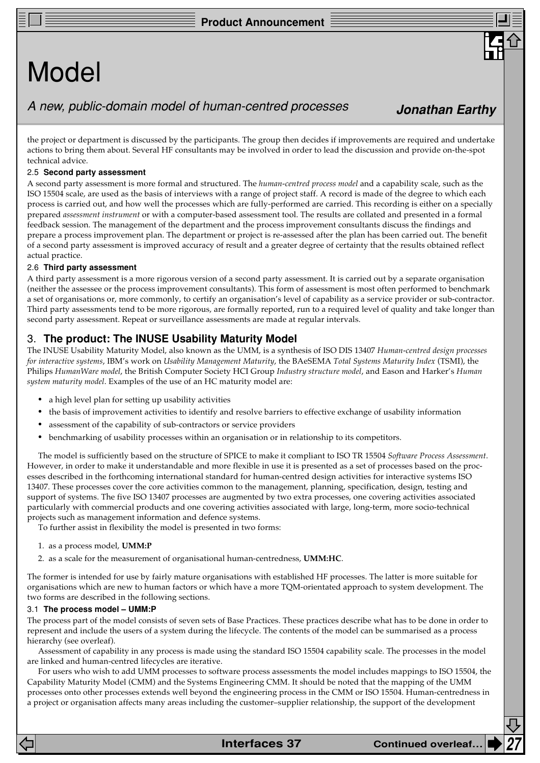## Model

## A new, public-domain model of human-centred processes

the project or department is discussed by the participants. The group then decides if improvements are required and undertake actions to bring them about. Several HF consultants may be involved in order to lead the discussion and provide on-the-spot technical advice.

#### 2.5 **Second party assessment**

A second party assessment is more formal and structured. The *human-centred process model* and a capability scale, such as the ISO 15504 scale, are used as the basis of interviews with a range of project staff. A record is made of the degree to which each process is carried out, and how well the processes which are fully-performed are carried. This recording is either on a specially prepared *assessment instrument* or with a computer-based assessment tool. The results are collated and presented in a formal feedback session. The management of the department and the process improvement consultants discuss the findings and prepare a process improvement plan. The department or project is re-assessed after the plan has been carried out. The benefit of a second party assessment is improved accuracy of result and a greater degree of certainty that the results obtained reflect actual practice.

#### 2.6 **Third party assessment**

A third party assessment is a more rigorous version of a second party assessment. It is carried out by a separate organisation (neither the assessee or the process improvement consultants). This form of assessment is most often performed to benchmark a set of organisations or, more commonly, to certify an organisation's level of capability as a service provider or sub-contractor. Third party assessments tend to be more rigorous, are formally reported, run to a required level of quality and take longer than second party assessment. Repeat or surveillance assessments are made at regular intervals.

## 3. **The product: The INUSE Usability Maturity Model**

The INUSE Usability Maturity Model, also known as the UMM, is a synthesis of ISO DIS 13407 *Human-centred design processes for interactive systems*, IBM's work on *Usability Management Maturity*, the BAeSEMA *Total Systems Maturity Index* (TSMI), the Philips *HumanWare model*, the British Computer Society HCI Group *Industry structure model*, and Eason and Harker's *Human system maturity model*. Examples of the use of an HC maturity model are:

- a high level plan for setting up usability activities
- the basis of improvement activities to identify and resolve barriers to effective exchange of usability information
- assessment of the capability of sub-contractors or service providers
- benchmarking of usability processes within an organisation or in relationship to its competitors.

The model is sufficiently based on the structure of SPICE to make it compliant to ISO TR 15504 *Software Process Assessment*. However, in order to make it understandable and more flexible in use it is presented as a set of processes based on the processes described in the forthcoming international standard for human-centred design activities for interactive systems ISO 13407. These processes cover the core activities common to the management, planning, specification, design, testing and support of systems. The five ISO 13407 processes are augmented by two extra processes, one covering activities associated particularly with commercial products and one covering activities associated with large, long-term, more socio-technical projects such as management information and defence systems.

To further assist in flexibility the model is presented in two forms:

- 1. as a process model, **UMM:P**
- 2. as a scale for the measurement of organisational human-centredness, **UMM:HC**.

The former is intended for use by fairly mature organisations with established HF processes. The latter is more suitable for organisations which are new to human factors or which have a more TQM-orientated approach to system development. The two forms are described in the following sections.

#### 3.1 **The process model – UMM:P**

The process part of the model consists of seven sets of Base Practices. These practices describe what has to be done in order to represent and include the users of a system during the lifecycle. The contents of the model can be summarised as a process hierarchy (see overleaf).

Assessment of capability in any process is made using the standard ISO 15504 capability scale. The processes in the model are linked and human-centred lifecycles are iterative.

For users who wish to add UMM processes to software process assessments the model includes mappings to ISO 15504, the Capability Maturity Model (CMM) and the Systems Engineering CMM. It should be noted that the mapping of the UMM processes onto other processes extends well beyond the engineering process in the CMM or ISO 15504. Human-centredness in a project or organisation affects many areas including the customer–supplier relationship, the support of the development

**Jonathan Earthy**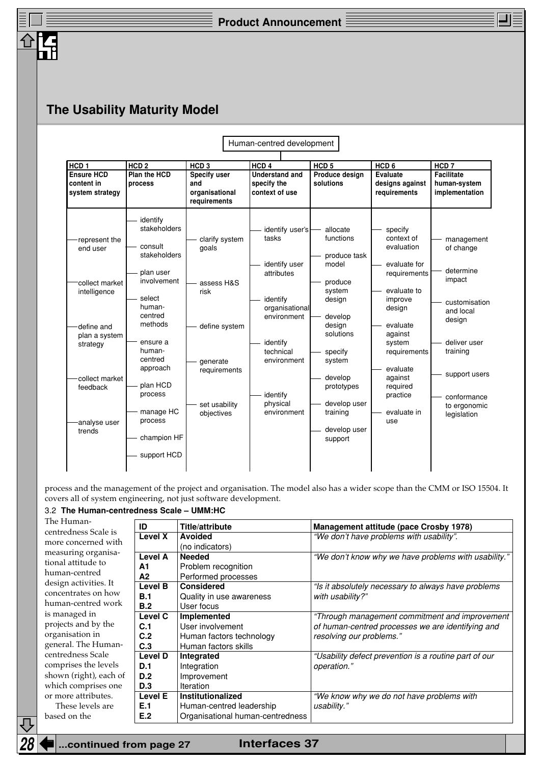## **The Usability Maturity Model**

|                                                                                                                                                                |                                                                                                                                                                                                                                      |                                                                                                                           | Human-centred development                                                                                                                                                           |                                                                                                                                                                                                                      |                                                                                                                                                                                                                               |                                                                                                                                                                                   |
|----------------------------------------------------------------------------------------------------------------------------------------------------------------|--------------------------------------------------------------------------------------------------------------------------------------------------------------------------------------------------------------------------------------|---------------------------------------------------------------------------------------------------------------------------|-------------------------------------------------------------------------------------------------------------------------------------------------------------------------------------|----------------------------------------------------------------------------------------------------------------------------------------------------------------------------------------------------------------------|-------------------------------------------------------------------------------------------------------------------------------------------------------------------------------------------------------------------------------|-----------------------------------------------------------------------------------------------------------------------------------------------------------------------------------|
|                                                                                                                                                                |                                                                                                                                                                                                                                      |                                                                                                                           |                                                                                                                                                                                     |                                                                                                                                                                                                                      |                                                                                                                                                                                                                               |                                                                                                                                                                                   |
| HCD <sub>1</sub><br><b>Ensure HCD</b><br>content in<br>system strategy                                                                                         | HCD <sub>2</sub><br><b>Plan the HCD</b><br>process                                                                                                                                                                                   | HCD <sub>3</sub><br>Specify user<br>and<br>organisational<br>requirements                                                 | HCD <sub>4</sub><br><b>Understand and</b><br>specify the<br>context of use                                                                                                          | HCD <sub>5</sub><br>Produce design<br>solutions                                                                                                                                                                      | HCD <sub>6</sub><br><b>Evaluate</b><br>designs against<br>requirements                                                                                                                                                        | HCD <sub>7</sub><br><b>Facilitate</b><br>human-system<br>implementation                                                                                                           |
| represent the<br>end user<br>collect market<br>intelligence<br>define and<br>plan a system<br>strategy<br>collect market<br>feedback<br>analyse user<br>trends | identify<br>stakeholders<br>consult<br>stakeholders<br>plan user<br>involvement<br>select<br>human-<br>centred<br>methods<br>ensure a<br>human-<br>centred<br>approach<br>plan HCD<br>process<br>manage HC<br>process<br>champion HF | clarify system<br>goals<br>assess H&S<br>risk<br>define system<br>generate<br>requirements<br>set usability<br>objectives | identify user's<br>tasks<br>identify user<br>attributes<br>identify<br>organisational<br>environment<br>identify<br>technical<br>environment<br>identify<br>physical<br>environment | allocate<br>functions<br>produce task<br>model<br>produce<br>system<br>design<br>develop<br>design<br>solutions<br>specify<br>system<br>develop<br>prototypes<br>develop user<br>training<br>develop user<br>support | specify<br>context of<br>evaluation<br>evaluate for<br>requirements<br>evaluate to<br>improve<br>design<br>evaluate<br>against<br>system<br>requirements<br>evaluate<br>against<br>required<br>practice<br>evaluate in<br>use | management<br>of change<br>determine<br>impact<br>customisation<br>and local<br>design<br>deliver user<br>training<br>support users<br>conformance<br>to ergonomic<br>legislation |
|                                                                                                                                                                | support HCD                                                                                                                                                                                                                          |                                                                                                                           |                                                                                                                                                                                     |                                                                                                                                                                                                                      |                                                                                                                                                                                                                               |                                                                                                                                                                                   |

process and the management of the project and organisation. The model also has a wider scope than the CMM or ISO 15504. It covers all of system engineering, not just software development.

### 3.2 **The Human-centredness Scale – UMM:HC**

| The Human-             | ID             | Title/attribute                  | <b>Management attitude (pace Crosby 1978)</b>         |
|------------------------|----------------|----------------------------------|-------------------------------------------------------|
| centredness Scale is   | Level X        | <b>Avoided</b>                   | "We don't have problems with usability".              |
| more concerned with    |                | (no indicators)                  |                                                       |
| measuring organisa-    | Level A        | <b>Needed</b>                    | "We don't know why we have problems with usability."  |
| tional attitude to     | A1             | Problem recognition              |                                                       |
| human-centred          | A2             | Performed processes              |                                                       |
| design activities. It  | Level B        | <b>Considered</b>                | "Is it absolutely necessary to always have problems   |
| concentrates on how    | B.1            | Quality in use awareness         | with usability?"                                      |
| human-centred work     | B.2            | User focus                       |                                                       |
| is managed in          | Level C        | Implemented                      | "Through management commitment and improvement        |
| projects and by the    | C.1            | User involvement                 | of human-centred processes we are identifying and     |
| organisation in        | C.2            | Human factors technology         | resolving our problems."                              |
| general. The Human-    | C.3            | Human factors skills             |                                                       |
| centredness Scale      | <b>Level D</b> | Integrated                       | "Usability defect prevention is a routine part of our |
| comprises the levels   | D.1            | Integration                      | operation."                                           |
| shown (right), each of | D.2            | Improvement                      |                                                       |
| which comprises one    | <b>D.3</b>     | Iteration                        |                                                       |
| or more attributes.    | Level E        | <b>Institutionalized</b>         | "We know why we do not have problems with             |
| These levels are       | E.1            | Human-centred leadership         | usability."                                           |
| based on the           | E.2            | Organisational human-centredness |                                                       |
|                        |                |                                  |                                                       |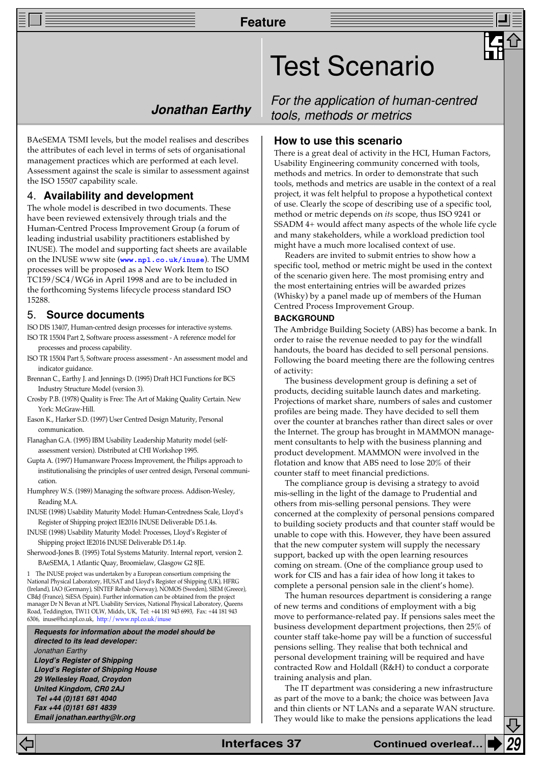## **Jonathan Earthy**

BAeSEMA TSMI levels, but the model realises and describes the attributes of each level in terms of sets of organisational management practices which are performed at each level. Assessment against the scale is similar to assessment against the ISO 15507 capability scale.

### 4. **Availability and development**

The whole model is described in two documents. These have been reviewed extensively through trials and the Human-Centred Process Improvement Group (a forum of leading industrial usability practitioners established by INUSE). The model and supporting fact sheets are available on the INUSE www site (**[www.npl.co.uk/inuse](http://www.npl.co.uk/inuse/)**). The UMM processes will be proposed as a New Work Item to ISO TC159/SC4/WG6 in April 1998 and are to be included in the forthcoming Systems lifecycle process standard ISO 15288.

#### 5. **Source documents**

- ISO DIS 13407, Human-centred design processes for interactive systems.
- ISO TR 15504 Part 2, Software process assessment A reference model for processes and process capability.
- ISO TR 15504 Part 5, Software process assessment An assessment model and indicator guidance.
- Brennan C., Earthy J. and Jennings D. (1995) Draft HCI Functions for BCS Industry Structure Model (version 3).
- Crosby P.B. (1978) Quality is Free: The Art of Making Quality Certain. New York: McGraw-Hill.
- Eason K., Harker S.D. (1997) User Centred Design Maturity, Personal communication.
- Flanaghan G.A. (1995) IBM Usability Leadership Maturity model (selfassessment version). Distributed at CHI Workshop 1995.
- Gupta A. (1997) Humanware Process Improvement, the Philips approach to institutionalising the principles of user centred design, Personal communication.
- Humphrey W.S. (1989) Managing the software process. Addison-Wesley, Reading M.A.
- INUSE (1998) Usability Maturity Model: Human-Centredness Scale, Lloyd's Register of Shipping project IE2016 INUSE Deliverable D5.1.4s.
- INUSE (1998) Usability Maturity Model: Processes, Lloyd's Register of Shipping project IE2016 INUSE Deliverable D5.1.4p.
- Sherwood-Jones B. (1995) Total Systems Maturity. Internal report, version 2. BAeSEMA, 1 Atlantic Quay, Broomielaw, Glasgow G2 8JE.

1 The INUSE project was undertaken by a European consortium comprising the National Physical Laboratory, HUSAT and Lloyd's Register of Shipping (UK), HFRG (Ireland), IAO (Germany), SINTEF Rehab (Norway), NOMOS (Sweden), SIEM (Greece), CB&J (France), SiESA (Spain). Further information can be obtained from the project manager Dr N Bevan at NPL Usability Services, National Physical Laboratory, Queens Road, Teddington, TW11 OLW, Middx, UK, Tel: +44 181 943 6993, Fax: +44 181 943 6306, inuse@hci.npl.co.uk, [http://www.npl.co.uk/inuse](http://www.npl.co.uk/inuse/)

**Requests for information about the model should be directed to its lead developer:** Jonathan Earthy **Lloyd's Register of Shipping Lloyd's Register of Shipping House 29 Wellesley Road, Croydon United Kingdom, CR0 2AJ Tel +44 (0)181 681 4040 Fax +44 (0)181 681 4839 Email jonathan.earthy@lr.org**

For the application of human-centred tools, methods or metrics

#### **How to use this scenario**

Test Scenario

There is a great deal of activity in the HCI, Human Factors, Usability Engineering community concerned with tools, methods and metrics. In order to demonstrate that such tools, methods and metrics are usable in the context of a real project, it was felt helpful to propose a hypothetical context of use. Clearly the scope of describing use of a specific tool, method or metric depends on *its* scope, thus ISO 9241 or SSADM 4+ would affect many aspects of the whole life cycle and many stakeholders, while a workload prediction tool might have a much more localised context of use.

Readers are invited to submit entries to show how a specific tool, method or metric might be used in the context of the scenario given here. The most promising entry and the most entertaining entries will be awarded prizes (Whisky) by a panel made up of members of the Human Centred Process Improvement Group.

#### **BACKGROUND**

The Ambridge Building Society (ABS) has become a bank. In order to raise the revenue needed to pay for the windfall handouts, the board has decided to sell personal pensions. Following the board meeting there are the following centres of activity:

The business development group is defining a set of products, deciding suitable launch dates and marketing. Projections of market share, numbers of sales and customer profiles are being made. They have decided to sell them over the counter at branches rather than direct sales or over the Internet. The group has brought in MAMMON management consultants to help with the business planning and product development. MAMMON were involved in the flotation and know that ABS need to lose 20% of their counter staff to meet financial predictions.

The compliance group is devising a strategy to avoid mis-selling in the light of the damage to Prudential and others from mis-selling personal pensions. They were concerned at the complexity of personal pensions compared to building society products and that counter staff would be unable to cope with this. However, they have been assured that the new computer system will supply the necessary support, backed up with the open learning resources coming on stream. (One of the compliance group used to work for CIS and has a fair idea of how long it takes to complete a personal pension sale in the client's home).

The human resources department is considering a range of new terms and conditions of employment with a big move to performance-related pay. If pensions sales meet the business development department projections, then 25% of counter staff take-home pay will be a function of successful pensions selling. They realise that both technical and personal development training will be required and have contracted Row and Holdall (R&H) to conduct a corporate training analysis and plan.

The IT department was considering a new infrastructure as part of the move to a bank; the choice was between Java and thin clients or NT LANs and a separate WAN structure. They would like to make the pensions applications the lead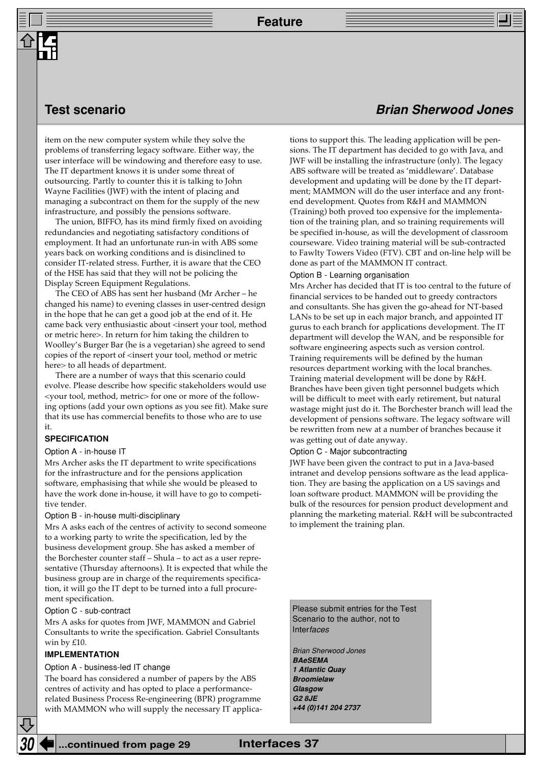## **Test scenario**

item on the new computer system while they solve the problems of transferring legacy software. Either way, the user interface will be windowing and therefore easy to use. The IT department knows it is under some threat of outsourcing. Partly to counter this it is talking to John Wayne Facilities (JWF) with the intent of placing and managing a subcontract on them for the supply of the new infrastructure, and possibly the pensions software.

The union, BIFFO, has its mind firmly fixed on avoiding redundancies and negotiating satisfactory conditions of employment. It had an unfortunate run-in with ABS some years back on working conditions and is disinclined to consider IT-related stress. Further, it is aware that the CEO of the HSE has said that they will not be policing the Display Screen Equipment Regulations.

The CEO of ABS has sent her husband (Mr Archer – he changed his name) to evening classes in user-centred design in the hope that he can get a good job at the end of it. He came back very enthusiastic about <insert your tool, method or metric here>. In return for him taking the children to Woolley's Burger Bar (he is a vegetarian) she agreed to send copies of the report of <insert your tool, method or metric here> to all heads of department.

There are a number of ways that this scenario could evolve. Please describe how specific stakeholders would use <your tool, method, metric> for one or more of the following options (add your own options as you see fit). Make sure that its use has commercial benefits to those who are to use it.

#### **SPECIFICATION**

#### Option A - in-house IT

Mrs Archer asks the IT department to write specifications for the infrastructure and for the pensions application software, emphasising that while she would be pleased to have the work done in-house, it will have to go to competitive tender.

#### Option B - in-house multi-disciplinary

Mrs A asks each of the centres of activity to second someone to a working party to write the specification, led by the business development group. She has asked a member of the Borchester counter staff – Shula – to act as a user representative (Thursday afternoons). It is expected that while the business group are in charge of the requirements specification, it will go the IT dept to be turned into a full procurement specification.

#### Option C - sub-contract

Mrs A asks for quotes from JWF, MAMMON and Gabriel Consultants to write the specification. Gabriel Consultants win by £10.

#### **IMPLEMENTATION**

#### Option A - business-led IT change

The board has considered a number of papers by the ABS centres of activity and has opted to place a performancerelated Business Process Re-engineering (BPR) programme with MAMMON who will supply the necessary IT applica-

## **Brian Sherwood Jones**

tions to support this. The leading application will be pensions. The IT department has decided to go with Java, and JWF will be installing the infrastructure (only). The legacy ABS software will be treated as 'middleware'. Database development and updating will be done by the IT department; MAMMON will do the user interface and any frontend development. Quotes from R&H and MAMMON (Training) both proved too expensive for the implementation of the training plan, and so training requirements will be specified in-house, as will the development of classroom courseware. Video training material will be sub-contracted to Fawlty Towers Video (FTV). CBT and on-line help will be done as part of the MAMMON IT contract.

#### Option B - Learning organisation

Mrs Archer has decided that IT is too central to the future of financial services to be handed out to greedy contractors and consultants. She has given the go-ahead for NT-based LANs to be set up in each major branch, and appointed IT gurus to each branch for applications development. The IT department will develop the WAN, and be responsible for software engineering aspects such as version control. Training requirements will be defined by the human resources department working with the local branches. Training material development will be done by R&H. Branches have been given tight personnel budgets which will be difficult to meet with early retirement, but natural wastage might just do it. The Borchester branch will lead the development of pensions software. The legacy software will be rewritten from new at a number of branches because it was getting out of date anyway.

#### Option C - Major subcontracting

JWF have been given the contract to put in a Java-based intranet and develop pensions software as the lead application. They are basing the application on a US savings and loan software product. MAMMON will be providing the bulk of the resources for pension product development and planning the marketing material. R&H will be subcontracted to implement the training plan.

Please submit entries for the Test Scenario to the author, not to **Interfaces** 

Brian Sherwood Jones **BAeSEMA 1 Atlantic Quay Broomielaw Glasgow G2 8JE +44 (0)141 204 2737**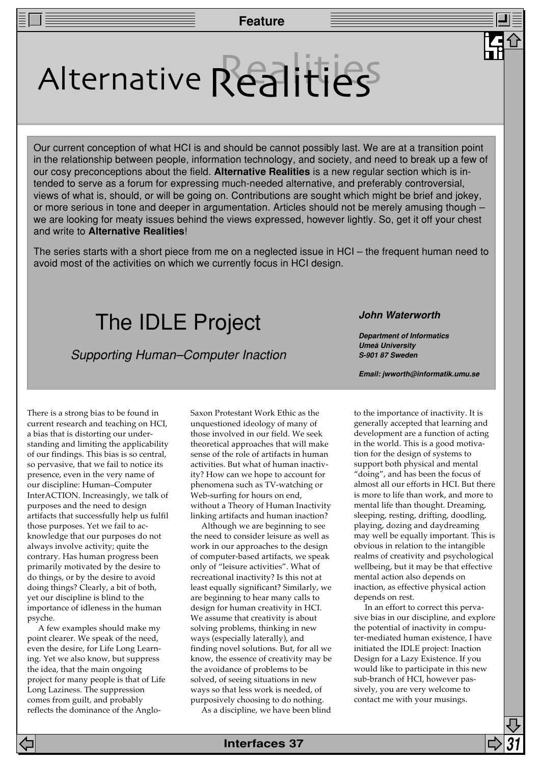# Alternative Realities

Our current conception of what HCI is and should be cannot possibly last. We are at a transition point in the relationship between people, information technology, and society, and need to break up a few of our cosy preconceptions about the field. **Alternative Realities** is a new regular section which is intended to serve as a forum for expressing much-needed alternative, and preferably controversial, views of what is, should, or will be going on. Contributions are sought which might be brief and jokey, or more serious in tone and deeper in argumentation. Articles should not be merely amusing though – we are looking for meaty issues behind the views expressed, however lightly. So, get it off your chest and write to **Alternative Realities**!

The series starts with a short piece from me on a neglected issue in HCI – the frequent human need to avoid most of the activities on which we currently focus in HCI design.

## The IDLE Project

Supporting Human–Computer Inaction

**John Waterworth**

**Department of Informatics Umeå University S-901 87 Sweden**

**Email: jwworth@informatik.umu.se**

There is a strong bias to be found in current research and teaching on HCI, a bias that is distorting our understanding and limiting the applicability of our findings. This bias is so central, so pervasive, that we fail to notice its presence, even in the very name of our discipline: Human–Computer InterACTION. Increasingly, we talk of purposes and the need to design artifacts that successfully help us fulfil those purposes. Yet we fail to acknowledge that our purposes do not always involve activity; quite the contrary. Has human progress been primarily motivated by the desire to do things, or by the desire to avoid doing things? Clearly, a bit of both, yet our discipline is blind to the importance of idleness in the human psyche.

A few examples should make my point clearer. We speak of the need, even the desire, for Life Long Learning. Yet we also know, but suppress the idea, that the main ongoing project for many people is that of Life Long Laziness. The suppression comes from guilt, and probably reflects the dominance of the AngloSaxon Protestant Work Ethic as the unquestioned ideology of many of those involved in our field. We seek theoretical approaches that will make sense of the role of artifacts in human activities. But what of human inactivity? How can we hope to account for phenomena such as TV-watching or Web-surfing for hours on end, without a Theory of Human Inactivity linking artifacts and human inaction?

Although we are beginning to see the need to consider leisure as well as work in our approaches to the design of computer-based artifacts, we speak only of "leisure activities". What of recreational inactivity? Is this not at least equally significant? Similarly, we are beginning to hear many calls to design for human creativity in HCI. We assume that creativity is about solving problems, thinking in new ways (especially laterally), and finding novel solutions. But, for all we know, the essence of creativity may be the avoidance of problems to be solved, of seeing situations in new ways so that less work is needed, of purposively choosing to do nothing.

As a discipline, we have been blind

to the importance of inactivity. It is generally accepted that learning and development are a function of acting in the world. This is a good motivation for the design of systems to support both physical and mental "doing", and has been the focus of almost all our efforts in HCI. But there is more to life than work, and more to mental life than thought. Dreaming, sleeping, resting, drifting, doodling, playing, dozing and daydreaming may well be equally important. This is obvious in relation to the intangible realms of creativity and psychological wellbeing, but it may be that effective mental action also depends on inaction, as effective physical action depends on rest.

In an effort to correct this pervasive bias in our discipline, and explore the potential of inactivity in computer-mediated human existence, I have initiated the IDLE project: Inaction Design for a Lazy Existence. If you would like to participate in this new sub-branch of HCI, however passively, you are very welcome to contact me with your musings.